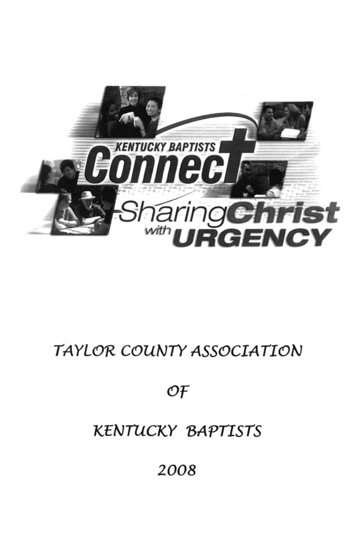

# TAYLOR COUNTY ASSOCIATION

OF

## **KENTUCKY BAPTISTS**

2008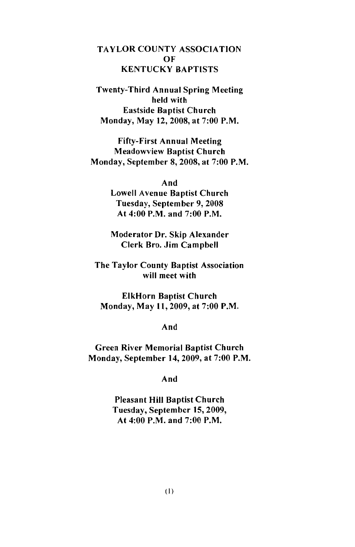#### **TAYLOR COUNTY ASSOCIATION** OF **KENTUCKY BAPTISTS**

**Twenty-Third Annual Spring Meeting** held with **Eastside Baptist Church** Monday, May 12, 2008, at 7:00 P.M.

**Fifty-First Annual Meeting Meadowview Baptist Church** Monday, September 8, 2008, at 7:00 P.M.

> And **Lowell Avenue Baptist Church** Tuesday, September 9, 2008 At 4:00 P.M. and  $7:00$  P.M.

> Moderator Dr. Skip Alexander Clerk Bro. Jim Campbell

The Taylor County Baptist Association will meet with

**ElkHorn Baptist Church** Monday, May 11, 2009, at 7:00 P.M.

And

**Green River Memorial Baptist Church** Monday, September 14, 2009, at 7:00 P.M.

And

**Pleasant Hill Baptist Church** Tuesday, September 15, 2009, At 4:00 P.M. and 7:00 P.M.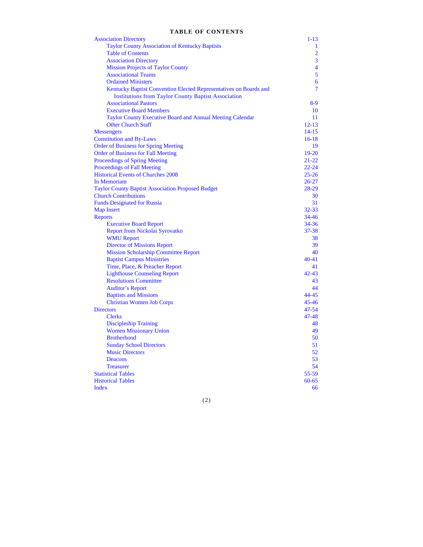#### **TABLE OF CONTENTS**

| <b>Association Directory</b>                                      | $1 - 13$                |
|-------------------------------------------------------------------|-------------------------|
| <b>Taylor County Association of Kentucky Baptists</b>             | 1                       |
| <b>Table of Contents</b>                                          | $\overline{2}$          |
| <b>Association Directory</b>                                      | 3                       |
| <b>Mission Projects of Taylor County</b>                          | $\overline{\mathbf{4}}$ |
| <b>Associational Teams</b>                                        | 5                       |
| <b>Ordained Ministers</b>                                         | 6                       |
| Kentucky Baptist Convention Elected Representatives on Boards and | $\overline{7}$          |
| <b>Institutions from Taylor County Baptist Association</b>        |                         |
| <b>Associational Pastors</b>                                      | $8-9$                   |
| <b>Executive Board Members</b>                                    | 10                      |
| Taylor County Executive Board and Annual Meeting Calendar         | 11                      |
| <b>Other Church Staff</b>                                         | $12 - 13$               |
| <b>Messengers</b>                                                 | $14 - 15$               |
| <b>Constitution and By-Laws</b>                                   | $16-18$                 |
| <b>Order of Business for Spring Meeting</b>                       | 19                      |
| <b>Order of Business for Fall Meeting</b>                         | $19-20$                 |
| Proceedings of Spring Meeting                                     | $21 - 22$               |
| <b>Proceedings of Fall Meeting</b>                                | $22 - 24$               |
| <b>Historical Events of Churches 2008</b>                         | $25 - 26$               |
| In Memoriam                                                       | $26 - 27$               |
| <b>Taylor County Baptist Association Proposed Budget</b>          | $28-29$                 |
| <b>Church Contributions</b>                                       | 30                      |
| <b>Funds Designated for Russia</b>                                | 31                      |
| <b>Map Insert</b>                                                 | $32 - 33$               |
| <b>Reports</b>                                                    | $34 - 46$               |
| <b>Executive Board Report</b>                                     | $34 - 36$               |
| <b>Report from Nickolai Syrovatko</b>                             | $37 - 38$               |
| <b>WMU</b> Report                                                 | 38                      |
| <b>Director of Missions Report</b>                                | 39                      |
| <b>Mission Scholarship Committee Report</b>                       | 40                      |
| <b>Baptist Campus Ministries</b>                                  | $40 - 41$               |
| Time, Place, & Preacher Report                                    | 41                      |
| <b>Lighthouse Counseling Report</b>                               | $42 - 43$               |
| <b>Resolutions Committee</b>                                      | 43                      |
| <b>Auditor's Report</b>                                           | 44                      |
| <b>Baptists and Missions</b>                                      | $44 - 45$               |
| <b>Christian Women Job Corps</b>                                  | $45 - 46$               |
| <b>Directors</b>                                                  | $47 - 54$               |
| <b>Clerks</b>                                                     | $47 - 48$               |
| <b>Discipleship Training</b>                                      | 48                      |
| <b>Women Missionary Union</b>                                     | 49                      |
| <b>Brotherhood</b>                                                | 50                      |
| <b>Sunday School Directors</b>                                    | 51                      |
| <b>Music Directors</b>                                            | 52                      |
| Deacons                                                           | 53                      |
| <b>Treasurer</b>                                                  | 54                      |
| <b>Statistical Tables</b>                                         | $55 - 59$               |
| <b>Historical Tables</b>                                          | $60 - 65$               |
| Index                                                             | 66                      |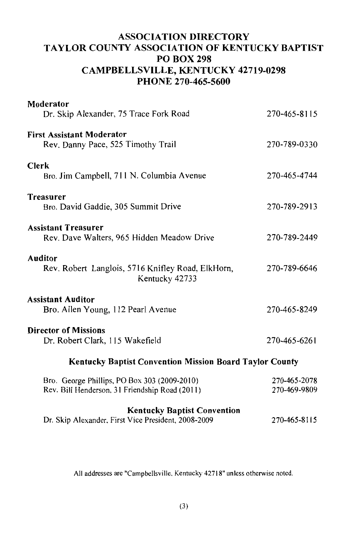## **ASSOCIATION DIRECTORY** TAYLOR COUNTY ASSOCIATION OF KENTUCKY BAPTIST **PO BOX 298 CAMPBELLSVILLE, KENTUCKY 42719-0298** PHONE 270-465-5600

| Moderator<br>Dr. Skip Alexander, 75 Trace Fork Road                                            | 270-465-8115                 |
|------------------------------------------------------------------------------------------------|------------------------------|
| <b>First Assistant Moderator</b><br>Rev. Danny Pace, 525 Timothy Trail                         | 270-789-0330                 |
| <b>Clerk</b><br>Bro. Jim Campbell, 711 N. Columbia Avenue                                      | 270-465-4744                 |
| <b>Treasurer</b><br>Bro. David Gaddie, 305 Summit Drive                                        | 270-789-2913                 |
| <b>Assistant Treasurer</b><br>Rev. Dave Walters, 965 Hidden Meadow Drive                       | 270-789-2449                 |
| <b>Auditor</b><br>Rev. Robert Langlois, 5716 Knifley Road, ElkHorn,<br>Kentucky 42733          | 270-789-6646                 |
| <b>Assistant Auditor</b><br>Bro. Allen Young, 112 Pearl Avenue                                 | 270-465-8249                 |
| <b>Director of Missions</b><br>Dr. Robert Clark, 115 Wakefield                                 | 270-465-6261                 |
| <b>Kentucky Baptist Convention Mission Board Taylor County</b>                                 |                              |
| Bro. George Phillips, PO Box 303 (2009-2010)<br>Rev. Bill Henderson, 31 Friendship Road (2011) | 270-465-2078<br>270-469-9809 |
| <b>Kentucky Baptist Convention</b><br>Dr. Skip Alexander, First Vice President, 2008-2009      | 270-465-8115                 |

All addresses are "Campbellsville, Kentucky 42718" unless otherwise noted.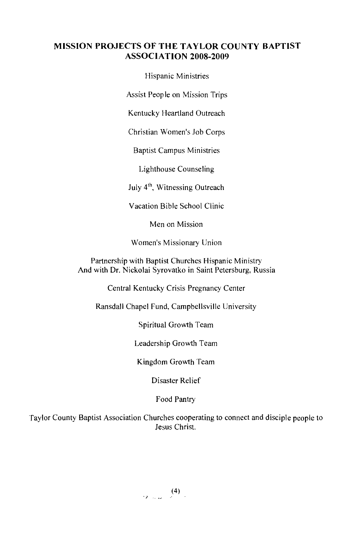#### **MISSION PROJECTS OF THE TAYLOR COUNTY BAPTIST ASSOCIATION 2008-2009**

Hispanic Ministries

Assist People on Mission Trips

Kentucky Heartland Outreach

Christian Women's Job Corps

**Baptist Campus Ministries** 

Lighthouse Counseling

July 4<sup>th</sup>, Witnessing Outreach

Vacation Bible School Clinic

Men on Mission

Women's Missionary Union

Partnership with Baptist Churches Hispanic Ministry And with Dr. Nickolai Syrovatko in Saint Petersburg, Russia

Central Kentucky Crisis Pregnancy Center

Ransdall Chapel Fund, Campbellsville University

Spiritual Growth Team

Leadership Growth Team

Kingdom Growth Team

Disaster Relief

Food Pantry

Taylor County Baptist Association Churches cooperating to connect and disciple people to Jesus Christ.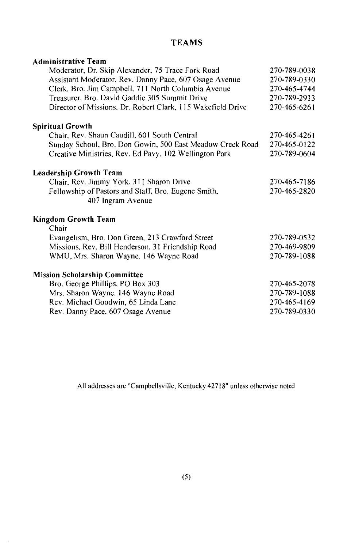#### **Administrative Team** Moderator, Dr. Skip Alexander, 75 Trace Fork Road 270-789-0038 Assistant Moderator, Rev. Danny Pace, 607 Osage Avenue 270-789-0330 Clerk, Bro. Jim Campbell, 711 North Columbia Avenue 270-465-4744 Treasurer, Bro. David Gaddie 305 Summit Drive 270-789-2913 Director of Missions, Dr. Robert Clark, 115 Wakefield Drive 270-465-6261 **Spiritual Growth** Chair, Rev. Shaun Caudill, 601 South Central 270-465-4261 Sunday School, Bro. Don Gowin, 500 East Meadow Creek Road 270-465-0122 Creative Ministries, Rev. Ed Pavy, 102 Wellington Park 270-789-0604 **Leadership Growth Team** Chair, Rev. Jimmy York, 311 Sharon Drive 270-465-7186 Fellowship of Pastors and Staff, Bro. Eugene Smith, 270-465-2820 407 Ingram Avenue **Kingdom Growth Team** Chair Evangelism, Bro. Don Green, 213 Crawford Street 270-789-0532 Missions, Rev. Bill Henderson, 31 Friendship Road 270-469-9809 WMU, Mrs. Sharon Wayne, 146 Wayne Road 270-789-1088 **Mission Scholarship Committee** Bro. George Phillips, PO Box 303 270-465-2078 Mrs. Sharon Wayne, 146 Wayne Road 270-789-1088 Rev. Michael Goodwin, 65 Linda Lane 270-465-4169 Rev. Danny Pace, 607 Osage Avenue 270-789-0330

**TEAMS** 

All addresses are "Campbellsville, Kentucky 42718" unless otherwise noted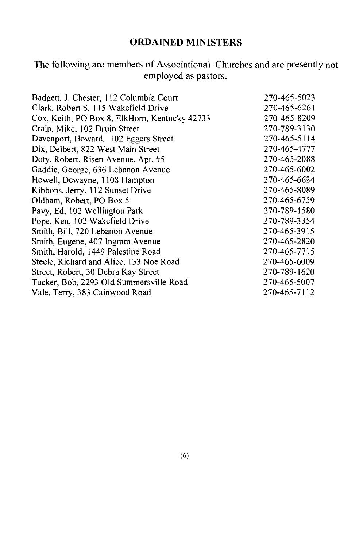## **ORDAINED MINISTERS**

The following are members of Associational Churches and are presently not employed as pastors.

| Badgett, J. Chester, 112 Columbia Court       | 270-465-5023 |
|-----------------------------------------------|--------------|
| Clark, Robert S, 115 Wakefield Drive          | 270-465-6261 |
| Cox, Keith, PO Box 8, ElkHorn, Kentucky 42733 | 270-465-8209 |
| Crain, Mike, 102 Druin Street                 | 270-789-3130 |
| Davenport, Howard, 102 Eggers Street          | 270-465-5114 |
| Dix, Delbert, 822 West Main Street            | 270-465-4777 |
| Doty, Robert, Risen Avenue, Apt. #5           | 270-465-2088 |
| Gaddie, George, 636 Lebanon Avenue            | 270-465-6002 |
| Howell, Dewayne, 1108 Hampton                 | 270-465-6634 |
| Kibbons, Jerry, 112 Sunset Drive              | 270-465-8089 |
| Oldham, Robert, PO Box 5                      | 270-465-6759 |
| Pavy, Ed, 102 Wellington Park                 | 270-789-1580 |
| Pope, Ken, 102 Wakefield Drive                | 270-789-3354 |
| Smith, Bill, 720 Lebanon Avenue               | 270-465-3915 |
| Smith, Eugene, 407 Ingram Avenue              | 270-465-2820 |
| Smith, Harold, 1449 Palestine Road            | 270-465-7715 |
| Steele, Richard and Alice, 133 Noe Road       | 270-465-6009 |
| Street, Robert, 30 Debra Kay Street           | 270-789-1620 |
| Tucker, Bob, 2293 Old Summersville Road       | 270-465-5007 |
| Vale, Terry, 383 Cainwood Road                | 270-465-7112 |
|                                               |              |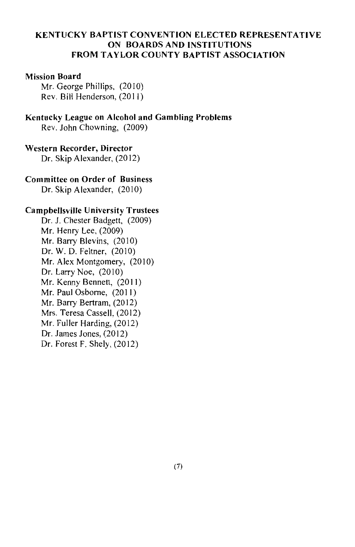#### **KENTUCKY BAPTIST CONVENTION ELECTED REPRESENTATIVE** ON BOARDS AND INSTITUTIONS **FROM TAYLOR COUNTY BAPTIST ASSOCIATION**

#### **Mission Board**

Mr. George Phillips, (2010) Rev. Bill Henderson, (2011)

#### Kentucky League on Alcohol and Gambling Problems

Rev. John Chowning. (2009)

#### **Western Recorder, Director**

Dr. Skip Alexander, (2012)

#### **Committee on Order of Business**

Dr. Skip Alexander, (2010)

#### **Campbellsville University Trustees**

Dr. J. Chester Badgett, (2009) Mr. Henry Lee, (2009) Mr. Barry Blevins, (2010) Dr. W. D. Feltner, (2010) Mr. Alex Montgomery, (2010) Dr. Larry Noe,  $(2010)$ Mr. Kenny Bennett. (2011) Mr. Paul Osborne, (2011) Mr. Barry Bertram. (2012) Mrs. Teresa Cassell, (2012) Mr. Fuller Harding. (2012) Dr. James Jones. (2012) Dr. Forest F. Shelv, (2012)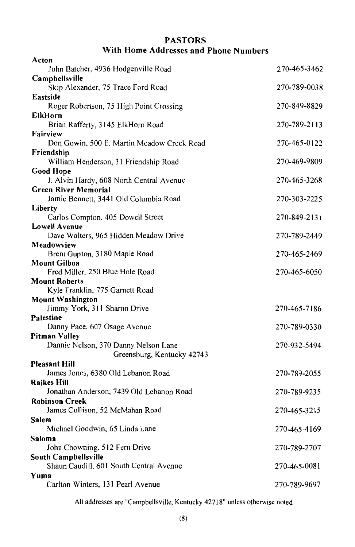### **PASTORS** With Home Addresses and Phone Numbers

| Acton                                                           |              |
|-----------------------------------------------------------------|--------------|
| John Batcher, 4936 Hodgenville Road                             | 270-465-3462 |
| Campbellsville                                                  |              |
| Skip Alexander, 75 Trace Ford Road                              | 270-789-0038 |
| Eastside                                                        |              |
| Roger Robertson, 75 High Point Crossing<br>ElkHorn              | 270-849-8829 |
| Brian Rafferty, 3145 ElkHorn Road                               | 270-789-2113 |
| Fairview                                                        |              |
| Don Gowin, 500 E. Martin Meadow Creek Road                      | 270-465-0122 |
| Friendship                                                      |              |
| William Henderson, 31 Friendship Road                           | 270-469-9809 |
| Good Hope                                                       |              |
| J. Alvin Hardy, 608 North Central Avenue                        | 270-465-3268 |
| <b>Green River Memorial</b>                                     |              |
| Jamie Bennett, 3441 Old Columbia Road<br>Liberty                | 270-303-2225 |
| Carlos Compton, 405 Dowell Street                               | 270-849-2131 |
| <b>Lowell Avenue</b>                                            |              |
| Dave Walters, 965 Hidden Meadow Drive                           | 270-789-2449 |
| Meadowview                                                      |              |
| Brent Gupton, 3180 Maple Road                                   | 270-465-2469 |
| Mount Gilboa                                                    |              |
| Fred Miller, 250 Blue Hole Road<br><b>Mount Roberts</b>         | 270-465-6050 |
| Kyle Franklin, 775 Garnett Road                                 |              |
| <b>Mount Washington</b>                                         |              |
| Jimmy York, 311 Sharon Drive                                    | 270-465-7186 |
| Palestine                                                       |              |
| Danny Pace, 607 Osage Avenue                                    | 270-789-0330 |
| <b>Pitman Valley</b>                                            |              |
| Dannie Nelson, 370 Danny Nelson Lane                            | 270-932-5494 |
| Greensburg, Kentucky 42743                                      |              |
| <b>Pleasant Hill</b><br>James Jones, 6380 Old Lebanon Road      | 270-789-2055 |
| Raikes Hill                                                     |              |
| Jonathan Anderson, 7439 Old Lebanon Road                        | 270-789-9235 |
| <b>Robinson Creek</b>                                           |              |
| James Collison, 52 McMahan Road                                 | 270-465-3215 |
| Salem                                                           |              |
| Michael Goodwin, 65 Linda Lane                                  | 270-465-4169 |
| Saloma                                                          |              |
| John Chowning. 512 Fern Drive                                   | 270-789-2707 |
| South Campbellsville<br>Shaun Caudill. 601 South Central Avenue |              |
| Yuma                                                            | 270-465-0081 |
| Carlton Winters, 131 Pearl Avenue                               | 270-789-9697 |
|                                                                 |              |

All addresses are "Campbellsville, Kentucky 42718" unless otherwise noted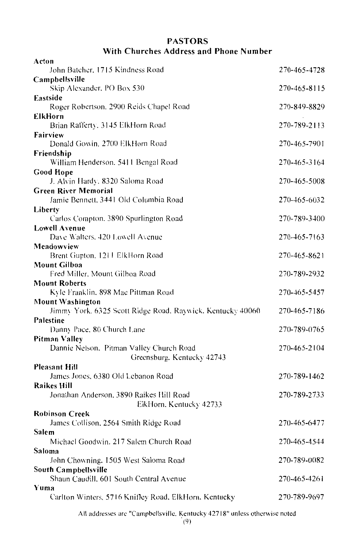### **PASTORS** With Churches Address and Phone Number

| Acton                                                                  |              |
|------------------------------------------------------------------------|--------------|
| John Batcher, 1715 Kindness Road                                       | 270-465-4728 |
| Campbellsville                                                         |              |
| Skip Alexander, PO Box 530                                             | 270-465-8115 |
| Eastside                                                               |              |
| Roger Robertson, 2900 Reids Chapel Road                                | 270-849-8829 |
| <b>ElkHorn</b>                                                         |              |
| Brian Rafferty, 3145 ElkHorn Road                                      | 270-789-2113 |
| Fairview<br>Donald Gowin, 2700 ElkHorn Road                            | 270-465-7901 |
| Friendship                                                             |              |
| William Henderson. 5411 Bengal Road                                    | 270-465-3164 |
| <b>Good Hope</b>                                                       |              |
| J. Alvin Hardy. 8320 Saloma Road                                       | 270-465-5008 |
| <b>Green River Memorial</b>                                            |              |
| Jamie Bennett, 3441 Old Columbia Road                                  | 270-465-6032 |
| Liberty                                                                |              |
| Carlos Compton, 3890 Spurlington Road                                  | 270-789-3400 |
| Lowell Avenue                                                          |              |
| Dave Walters, 420 Lowell Avenue                                        | 270-465-7163 |
| Meadowview                                                             |              |
| Brent Gupton, 1211 ElkHorn Road                                        | 270-465-8621 |
| Mount Gilboa                                                           |              |
| Fred Miller, Mount Gilboa Road                                         | 270-789-2932 |
| <b>Mount Roberts</b>                                                   |              |
|                                                                        |              |
| Kyle Franklin, 898 Mac Pittman Road                                    | 270-465-5457 |
| Mount Washington                                                       |              |
| Jimmy York. 6325 Scott Ridge Road, Raywick, Kentucky 40060             | 270-465-7186 |
| Palestine                                                              |              |
| Danny Pace, 80 Church Lane                                             | 270-789-0765 |
| Pitman Valley                                                          | 270-465-2104 |
| Dannie Nelson, Pitman Valley Church Road<br>Greensburg. Kentucky 42743 |              |
| Pleasant Hill                                                          |              |
| James Jones, 6380 Old Lebanon Road                                     | 270-789-1462 |
| Raikes Hill                                                            |              |
| Jonathan Anderson, 3890 Raikes Hill Road                               | 270-789-2733 |
| ElkHorn. Kentucky 42733                                                |              |
| <b>Robinson Creek</b>                                                  |              |
| James Collison, 2564 Smith Ridge Road                                  | 270-465-6477 |
| Salem                                                                  |              |
| Michael Goodwin, 217 Salem Church Road                                 | 270-465-4544 |
| Saloma                                                                 |              |
| John Chowning, 1505 West Saloma Road                                   | 270-789-0082 |
| South Campbellsville                                                   |              |
| Shaun Caudill, 601 South Central Avenue<br>Yuma                        | 270-465-4261 |
| Carlton Winters, 5716 Knifley Road, ElkHorn, Kentucky                  | 270-789-9697 |

All addresses are "Campbellsville. Kentucky 42718" unless otherwise noted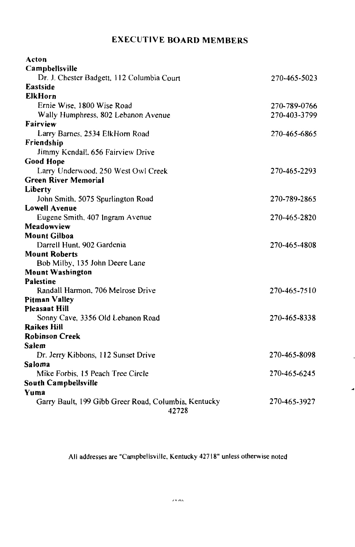## **EXECUTIVE BOARD MEMBERS**

| Acton                                                         |              |
|---------------------------------------------------------------|--------------|
| Campbellsville                                                |              |
| Dr. J. Chester Badgett, 112 Columbia Court                    | 270-465-5023 |
| Eastside                                                      |              |
| <b>ElkHorn</b>                                                |              |
| Ernie Wise, 1800 Wise Road                                    | 270-789-0766 |
| Wally Humphress, 802 Lebanon Avenue                           | 270-403-3799 |
| Fairview                                                      |              |
| Larry Barnes, 2534 ElkHorn Road                               | 270-465-6865 |
| Friendship                                                    |              |
| Jimmy Kendall, 656 Fairview Drive                             |              |
| <b>Good Hope</b>                                              |              |
| Larry Underwood, 250 West Owl Creek                           | 270-465-2293 |
| <b>Green River Memorial</b>                                   |              |
| Liberty                                                       |              |
| John Smith, 5075 Spurlington Road                             | 270-789-2865 |
| <b>Lowell Avenue</b>                                          |              |
| Eugene Smith, 407 Ingram Avenue                               | 270-465-2820 |
| Meadowview                                                    |              |
| <b>Mount Gilboa</b>                                           |              |
| Darrell Hunt, 902 Gardenia                                    | 270-465-4808 |
| <b>Mount Roberts</b>                                          |              |
| Bob Milby, 135 John Deere Lane                                |              |
| <b>Mount Washington</b>                                       |              |
| Palestine                                                     |              |
| Randall Harmon, 706 Melrose Drive                             | 270-465-7510 |
| Pitman Valley                                                 |              |
| <b>Pleasant Hill</b>                                          |              |
| Sonny Cave, 3356 Old Lebanon Road                             | 270-465-8338 |
| <b>Raikes Hill</b>                                            |              |
| <b>Robinson Creek</b>                                         |              |
| Salem                                                         |              |
| Dr. Jerry Kibbons, 112 Sunset Drive                           | 270-465-8098 |
| Saloma                                                        |              |
| Mike Forbis, 15 Peach Tree Circle                             | 270-465-6245 |
| South Campbellsville                                          |              |
| Yuma                                                          |              |
| Garry Bault, 199 Gibb Greer Road, Columbia, Kentucky<br>42728 | 270-465-3927 |

All addresses are "Campbellsville, Kentucky 42718" unless otherwise noted

 $\overline{a}$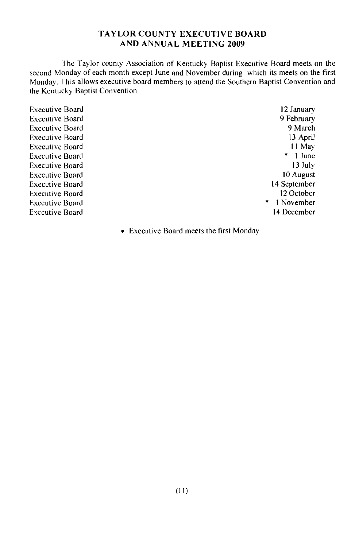#### **TAYLOR COUNTY EXECUTIVE BOARD AND ANNUAL MEETING 2009**

The Taylor county Association of Kentucky Baptist Executive Board meets on the second Monday of each month except June and November during which its meets on the first Monday. This allows executive board members to attend the Southern Baptist Convention and the Kentucky Baptist Convention.

**Executive Board Executive Board Executive Board Executive Board Executive Board Executive Board Executive Board Executive Board Executive Board Executive Board Executive Board Executive Board** 

12 January 9 February 9 March 13 April 11 May  $*$  1 June 13 July 10 August 14 September 12 October 1 November 14 December

 $\ast$ 

• Executive Board meets the first Monday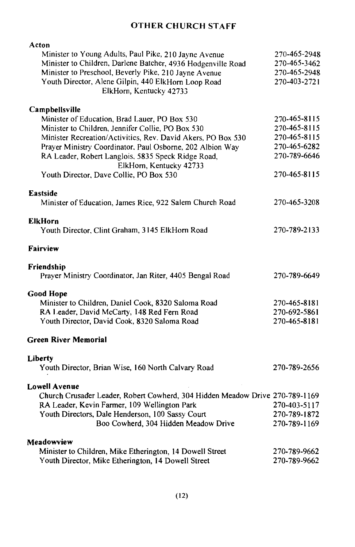## **OTHER CHURCH STAFF**

| Acton                                                                        |              |
|------------------------------------------------------------------------------|--------------|
| Minister to Young Adults, Paul Pike, 210 Jayne Avenue                        | 270-465-2948 |
| Minister to Children, Darlene Batcher, 4936 Hodgenville Road                 | 270-465-3462 |
| Minister to Preschool, Beverly Pike, 210 Jayne Avenue                        | 270-465-2948 |
| Youth Director, Alene Gilpin, 440 ElkHorn Loop Road                          | 270-403-2721 |
| ElkHorn, Kentucky 42733                                                      |              |
| Campbellsville                                                               |              |
| Minister of Education, Brad Lauer, PO Box 530                                | 270-465-8115 |
| Minister to Children, Jennifer Collie, PO Box 530                            | 270-465-8115 |
| Minister Recreation/Activities, Rev. David Akers, PO Box 530                 | 270-465-8115 |
| Prayer Ministry Coordinator, Paul Osborne, 202 Albion Way                    | 270-465-6282 |
| RA Leader, Robert Langlois, 5835 Speck Ridge Road,                           | 270-789-6646 |
| ElkHorn, Kentucky 42733                                                      |              |
| Youth Director, Dave Collie, PO Box 530                                      | 270-465-8115 |
|                                                                              |              |
| <b>Eastside</b>                                                              |              |
| Minister of Education, James Rice, 922 Salem Church Road                     | 270-465-3208 |
| ElkHorn                                                                      |              |
| Youth Director, Clint Graham, 3145 ElkHorn Road                              | 270-789-2133 |
| Fairview                                                                     |              |
| Friendship                                                                   |              |
| Prayer Ministry Coordinator, Jan Riter, 4405 Bengal Road                     | 270-789-6649 |
| <b>Good Hope</b>                                                             |              |
| Minister to Children, Daniel Cook, 8320 Saloma Road                          | 270-465-8181 |
| RA Leader, David McCarty, 148 Red Fern Road                                  | 270-692-5861 |
| Youth Director, David Cook, 8320 Saloma Road                                 | 270-465-8181 |
| Green River Memorial                                                         |              |
| Liberty                                                                      |              |
| Youth Director, Brian Wise, 160 North Calvary Road                           | 270-789-2656 |
| <b>Lowell Avenue</b>                                                         |              |
| Church Crusader Leader, Robert Cowherd, 304 Hidden Meadow Drive 270-789-1169 |              |
| RA Leader, Kevin Farmer, 109 Wellington Park                                 | 270-403-5117 |
| Youth Directors, Dale Henderson, 100 Sassy Court                             | 270-789-1872 |
| Boo Cowherd, 304 Hidden Meadow Drive                                         | 270-789-1169 |
|                                                                              |              |
| Meadowview                                                                   |              |
| Minister to Children, Mike Etherington, 14 Dowell Street                     | 270-789-9662 |
| Youth Director, Mike Etherington, 14 Dowell Street                           | 270-789-9662 |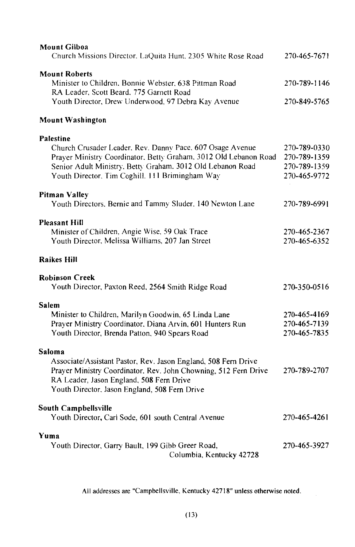| <b>Mount Gilboa</b><br>Church Missions Director. LaQuita Hunt. 2305 White Rose Road                                                                                                                                                                                | 270-465-7671                                                 |
|--------------------------------------------------------------------------------------------------------------------------------------------------------------------------------------------------------------------------------------------------------------------|--------------------------------------------------------------|
| <b>Mount Roberts</b><br>Minister to Children, Bonnie Webster, 638 Pittman Road<br>RA Leader, Scott Beard, 775 Garnett Road<br>Youth Director, Drew Underwood, 97 Debra Kay Avenue                                                                                  | 270-789-1146<br>270-849-5765                                 |
| Mount Washington                                                                                                                                                                                                                                                   |                                                              |
| <b>Palestine</b><br>Church Crusader Leader. Rev. Danny Pace. 607 Osage Avenue<br>Prayer Ministry Coordinator. Betty Graham. 3012 Old Lebanon Road<br>Senior Adult Ministry. Betty Graham. 3012 Old Lebanon Road<br>Youth Director. Tim Coghill. 111 Brimingham Way | 270-789-0330<br>270-789-1359<br>270-789-1359<br>270-465-9772 |
| <b>Pitman Valley</b><br>Youth Directors. Bernie and Tammy Sluder. 140 Newton Lane                                                                                                                                                                                  | 270-789-6991                                                 |
| <b>Pleasant Hill</b><br>Minister of Children, Angie Wise, 59 Oak Trace<br>Youth Director, Melissa Williams, 207 Jan Street                                                                                                                                         | 270-465-2367<br>270-465-6352                                 |
| <b>Raikes Hill</b>                                                                                                                                                                                                                                                 |                                                              |
| <b>Robinson Creek</b><br>Youth Director, Paxton Reed, 2564 Smith Ridge Road                                                                                                                                                                                        | 270-350-0516                                                 |
| Salem<br>Minister to Children, Marilyn Goodwin, 65 Linda Lane<br>Prayer Ministry Coordinator, Diana Arvin, 601 Hunters Run<br>Youth Director, Brenda Patton, 940 Spears Road                                                                                       | 270-465-4169<br>270-465-7139<br>270-465-7835                 |
| Saloma<br>Associate/Assistant Pastor, Rev. Jason England, 508 Fern Drive<br>Prayer Ministry Coordinator. Rev. John Chowning, 512 Fern Drive<br>RA Leader, Jason England, 508 Fern Drive<br>Youth Director, Jason England, 508 Fern Drive                           | 270-789-2707                                                 |
| South Campbellsville<br>Youth Director, Carl Sode, 601 south Central Avenue                                                                                                                                                                                        | 270-465-4261                                                 |
| Yuma<br>Youth Director, Garry Bault, 199 Gibb Greer Road,<br>Columbia, Kentucky 42728                                                                                                                                                                              | 270-465-3927                                                 |

All addresses are "Campbellsville, Kentucky 42718" unless otherwise noted.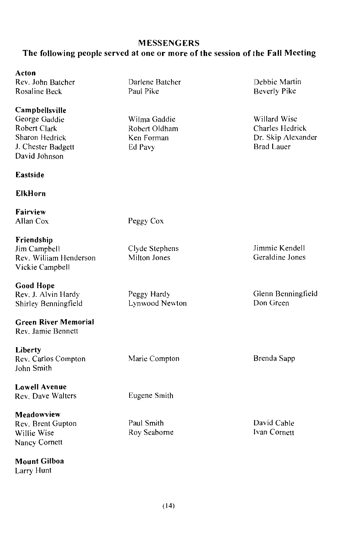#### **MESSENGERS**

#### The following people served at one or more of the session of the Fall Meeting

#### Acton

Rev. John Batcher Rosaline Beck

#### Campbellsville

George Gaddie Robert Clark Sharon Hedrick J. Chester Badgett David Johnson

#### Eastside

#### **ElkHorn**

Fairview Allan Cox

Friendship Jim Campbell Rev. William Henderson Vickie Campbell

**Good Hope** Rev. J. Alvin Hardy Shirley Benningfield

**Green River Memorial** Rev. Jamie Bennett

Liberty Rev. Carlos Compton John Smith

**Lowell Avenue** Rev. Dave Walters

Meadowview Rev. Brent Gupton Willie Wise Nancy Cornett

Mount Gilboa Larry Hunt

Darlene Batcher Paul Pike

Wilma Gaddie Robert Oldham Ken Forman Ed Pavy

Debbie Martin Beverly Pike

Willard Wise Charles Hedrick Dr. Skip Alexander Brad Lauer

Peggy Cox

Clyde Stephens Milton Jones

Peggy Hardy Lynwood Newton

Marie Compton

Eugene Smith

Paul Smith Roy Seaborne Jimmie Kendell Geraldine Jones

Glenn Benningfield Don Green

Brenda Sapp

David Cable Ivan Cornett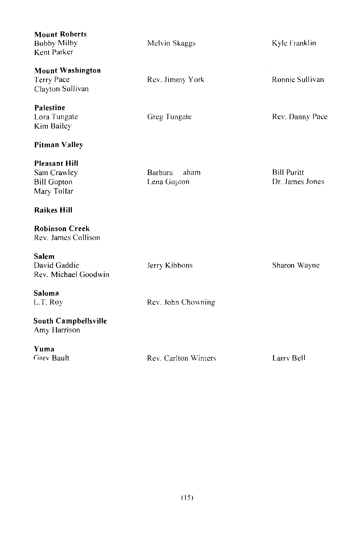| <b>Mount Roberts</b><br><b>Bobby Milby</b><br>Kent Parker                | Melvin Skaggs                  | Kyle Franklin                         |
|--------------------------------------------------------------------------|--------------------------------|---------------------------------------|
| <b>Mount Washington</b><br><b>Terry Pace</b><br>Clayton Sullivan         | Rev. Jimmy York                | Ronnie Sullivan                       |
| Palestine<br>Lora Tungate<br>Kim Bailey                                  | Greg Tungate                   | Rev. Danny Pace                       |
| Pitman Valley                                                            |                                |                                       |
| <b>Pleasant Hill</b><br>Sam Crawley<br><b>Bill Gupton</b><br>Mary Tollar | Barbara<br>aham<br>Lena Gupton | <b>Bill Puritt</b><br>Dr. James Jones |
| <b>Raikes Hill</b>                                                       |                                |                                       |
| <b>Robinson Creek</b><br>Rev. James Collison                             |                                |                                       |
| <b>Salem</b><br>David Gaddie<br>Rev. Michael Goodwin                     | Jerry Kibbons                  | Sharon Wayne                          |
| Saloma<br>L.T. Roy                                                       | Rev. John Chowning             |                                       |
| South Campbellsville<br>Amy Harrison                                     |                                |                                       |
| Yuma<br>Gary Bault                                                       | Rev. Carlton Winters           | Larry Bell                            |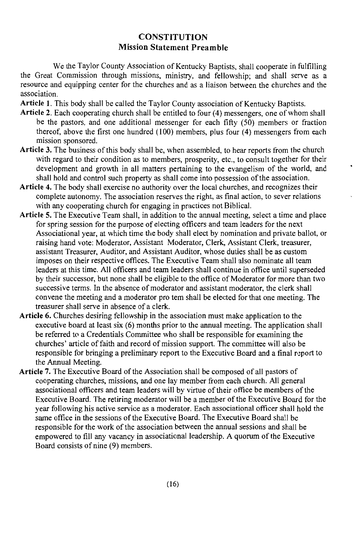#### **CONSTITUTION Mission Statement Preamble**

We the Taylor County Association of Kentucky Baptists, shall cooperate in fulfilling the Great Commission through missions, ministry, and fellowship; and shall serve as a resource and equipping center for the churches and as a liaison between the churches and the association

Article 1. This body shall be called the Taylor County association of Kentucky Baptists.

- Article 2. Each cooperating church shall be entitled to four (4) messengers, one of whom shall be the pastors, and one additional messenger for each fifty  $(50)$  members or fraction thereof, above the first one hundred (100) members, plus four (4) messengers from each mission sponsored.
- Article 3. The business of this body shall be, when assembled, to hear reports from the church with regard to their condition as to members, prosperity, etc., to consult together for their development and growth in all matters pertaining to the evangelism of the world, and shall hold and control such property as shall come into possession of the association.
- Article 4. The body shall exercise no authority over the local churches, and recognizes their complete autonomy. The association reserves the right, as final action, to sever relations with any cooperating church for engaging in practices not Biblical.
- Article 5. The Executive Team shall, in addition to the annual meeting, select a time and place for spring session for the purpose of electing officers and team leaders for the next Associational year, at which time the body shall elect by nomination and private ballot, or raising hand vote: Moderator, Assistant Moderator, Clerk, Assistant Clerk, treasurer, assistant Treasurer, Auditor, and Assistant Auditor, whose duties shall be as custom imposes on their respective offices. The Executive Team shall also nominate all team leaders at this time. All officers and team leaders shall continue in office until superseded by their successor, but none shall be eligible to the office of Moderator for more than two successive terms. In the absence of moderator and assistant moderator, the clerk shall convene the meeting and a moderator pro tem shall be elected for that one meeting. The treasurer shall serve in absence of a clerk.
- Article 6. Churches desiring fellowship in the association must make application to the executive board at least six (6) months prior to the annual meeting. The application shall be referred to a Credentials Committee who shall be responsible for examining the churches' article of faith and record of mission support. The committee will also be responsible for bringing a preliminary report to the Executive Board and a final report to the Annual Meeting.
- Article 7. The Executive Board of the Association shall be composed of all pastors of cooperating churches, missions, and one lay member from each church. All general associational officers and team leaders will by virtue of their office be members of the Executive Board. The retiring moderator will be a member of the Executive Board for the year following his active service as a moderator. Each associational officer shall hold the same office in the sessions of the Executive Board. The Executive Board shall be responsible for the work of the association between the annual sessions and shall be empowered to fill any vacancy in associational leadership. A quorum of the Executive Board consists of nine (9) members.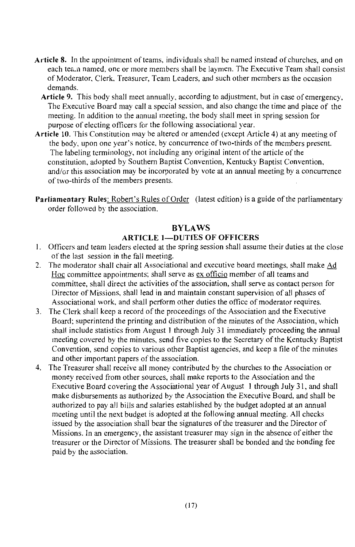- Article 8. In the appointment of teams, individuals shall be named instead of churches, and on each tea.n named, one or more members shall be laymen. The Executive Team shall consist of Moderator, Clerk, Treasurer, Team Leaders, and such other members as the occasion demands.
	- Article 9. This body shall meet annually, according to adjustment, but in case of emergency, The Executive Board may call a special session, and also change the time and place of the meeting. In addition to the annual meeting, the body shall meet in spring session for purpose of electing officers for the following associational year.
- Article 10. This Constitution may be altered or amended (except Article 4) at any meeting of the body, upon one year's notice, by concurrence of two-thirds of the members present. The labeling terminology, not including any original intent of the article of the constitution, adopted by Southern Baptist Convention, Kentucky Baptist Convention. and/or this association may be incorporated by vote at an annual meeting by a concurrence of two-thirds of the members presents.
- Parliamentary Rules: Robert's Rules of Order (latest edition) is a guide of the parliamentary order followed by the association.

#### **RYLAWS ARTICLE 1-DUTIES OF OFFICERS**

- 1. Officers and team leaders elected at the spring session shall assume their duties at the close of the last session in the fall meeting.
- 2. The moderator shall chair all Associational and executive board meetings, shall make Ad Hoc committee appointments; shall serve as ex officio member of all teams and committee, shall direct the activities of the association, shall serve as contact person for Director of Missions, shall lead in and maintain constant supervision of all phases of Associational work, and shall perform other duties the office of moderator requires.
- 3. The Clerk shall keep a record of the proceedings of the Association and the Executive Board; superintend the printing and distribution of the minutes of the Association, which shall include statistics from August 1 through July 31 immediately proceeding the annual meeting covered by the minutes, send five copies to the Secretary of the Kentucky Baptist Convention, send copies to various other Baptist agencies, and keep a file of the minutes and other important papers of the association.
- 4. The Treasurer shall receive all money contributed by the churches to the Association or money received from other sources, shall make reports to the Association and the Executive Board covering the Associational year of August 1 through July 31, and shall make disbursements as authorized by the Association the Executive Board, and shall be authorized to pay all bills and salaries established by the budget adopted at an annual meeting until the next budget is adopted at the following annual meeting. All checks issued by the association shall bear the signatures of the treasurer and the Director of Missions. In an emergency, the assistant treasurer may sign in the absence of either the treasurer or the Director of Missions. The treasurer shall be bonded and the bonding fee paid by the association.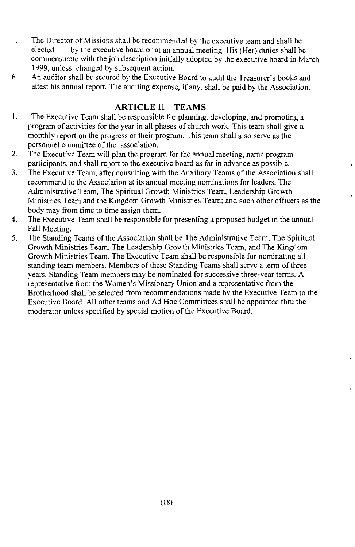- The Director of Missions shall be recommended by the executive team and shall be  $\ddot{\phantom{0}}$ elected by the executive board or at an annual meeting. His (Her) duties shall be commensurate with the job description initially adopted by the executive board in March 1999, unless changed by subsequent action.
- 6. An auditor shall be secured by the Executive Board to audit the Treasurer's books and attest his annual report. The auditing expense, if any, shall be paid by the Association.

#### **ARTICLE II-TEAMS**

- 1. The Executive Team shall be responsible for planning, developing, and promoting a program of activities for the year in all phases of church work. This team shall give a monthly report on the progress of their program. This team shall also serve as the personnel committee of the association.
- $2.$ The Executive Team will plan the program for the annual meeting, name program participants, and shall report to the executive board as far in advance as possible.
- $3<sub>1</sub>$ The Executive Team, after consulting with the Auxiliary Teams of the Association shall recommend to the Association at its annual meeting nominations for leaders. The Administrative Team, The Spiritual Growth Ministries Team, Leadership Growth Ministries Team and the Kingdom Growth Ministries Team; and such other officers as the body may from time to time assign them.
- $4.$ The Executive Team shall be responsible for presenting a proposed budget in the annual Fall Meeting.
- 5. The Standing Teams of the Association shall be The Administrative Team, The Spiritual Growth Ministries Team, The Leadership Growth Ministries Team, and The Kingdom Growth Ministries Team. The Executive Team shall be responsible for nominating all standing team members. Members of these Standing Teams shall serve a term of three years. Standing Team members may be nominated for successive three-year terms. A representative from the Women's Missionary Union and a representative from the Brotherhood shall be selected from recommendations made by the Executive Team to the Executive Board. All other teams and Ad Hoc Committees shall be appointed thru the moderator unless specified by special motion of the Executive Board.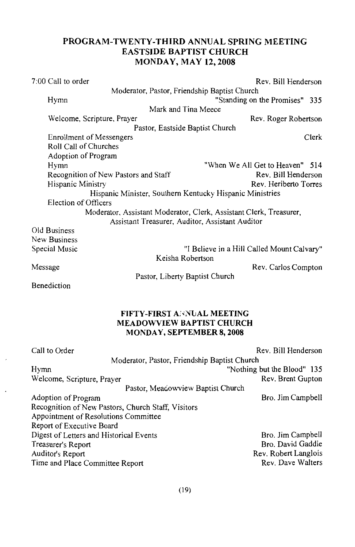#### PROGRAM-TWENTY-THIRD ANNUAL SPRING MEETING **EASTSIDE BAPTIST CHURCH MONDAY, MAY 12, 2008**

| 7:00 Call to order                   | Rev. Bill Henderson                                                |
|--------------------------------------|--------------------------------------------------------------------|
|                                      | Moderator, Pastor, Friendship Baptist Church                       |
| Hymn                                 | "Standing on the Promises" 335                                     |
|                                      | Mark and Tina Meece                                                |
| Welcome, Scripture, Prayer           | Rev. Roger Robertson                                               |
|                                      | Pastor, Eastside Baptist Church                                    |
| <b>Enrollment of Messengers</b>      | Clerk                                                              |
| Roll Call of Churches                |                                                                    |
| Adoption of Program                  |                                                                    |
| Hymn                                 | "When We All Get to Heaven" 514                                    |
| Recognition of New Pastors and Staff | Rev. Bill Henderson                                                |
| Hispanic Ministry                    | Rev. Heriberto Torres                                              |
|                                      | Hispanic Minister, Southern Kentucky Hispanic Ministries           |
| Election of Officers                 |                                                                    |
|                                      | Moderator, Assistant Moderator, Clerk, Assistant Clerk, Treasurer, |
|                                      | Assistant Treasurer, Auditor, Assistant Auditor                    |
| Old Business                         |                                                                    |
| New Business                         |                                                                    |
| Special Music                        | "I Believe in a Hill Called Mount Calvary"                         |

Message

Keisha Robertson

Rev. Carlos Compton

Pastor, Liberty Baptist Church

Benediction

#### FIFTY-FIRST ANNUAL MEETING **MEADOWVIEW BAPTIST CHURCH** MONDAY, SEPTEMBER 8, 2008

| Call to Order                                      | Rev. Bill Henderson         |
|----------------------------------------------------|-----------------------------|
| Moderator, Pastor, Friendship Baptist Church       |                             |
| Hymn                                               | "Nothing but the Blood" 135 |
| Welcome, Scripture, Prayer                         | Rev. Brent Gupton           |
| Pastor, Meacowview Baptist Church                  |                             |
| Adoption of Program                                | Bro. Jim Campbell           |
| Recognition of New Pastors, Church Staff, Visitors |                             |
| Appointment of Resolutions Committee               |                             |
| Report of Executive Board                          |                             |
| Digest of Letters and Historical Events            | Bro. Jim Campbell           |
| Treasurer's Report                                 | Bro. David Gaddie           |
| Auditor's Report                                   | Rev. Robert Langlois        |
| Time and Place Committee Report                    | Rev. Dave Walters           |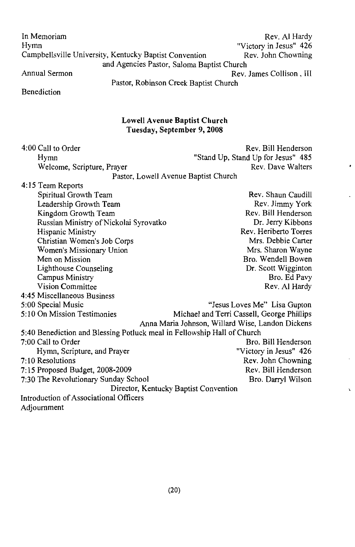Rev. Al Hardy In Memoriam "Victory in Jesus" 426 Hymn Campbellsville University, Kentucky Baptist Convention Rev. John Chowning and Agencies Pastor, Saloma Baptist Church Annual Sermon Rev. James Collison, III Pastor, Robinson Creek Baptist Church

Benediction

 $4:00$  Call to Order

#### Lowell Avenue Baptist Church Tuesday, September 9, 2008

Rev. Bill Henderson

 $\cdot$ 

 $\mathbf{r}$ 

| www.can.com                                                             | TIPLE PHILIPPING CON                             |
|-------------------------------------------------------------------------|--------------------------------------------------|
| Hymn                                                                    | "Stand Up, Stand Up for Jesus" 485               |
| Welcome, Scripture, Prayer                                              | Rev. Dave Walters                                |
|                                                                         | Pastor, Lowell Avenue Baptist Church             |
| 4:15 Team Reports                                                       |                                                  |
| Spiritual Growth Team                                                   | Rev. Shaun Caudill                               |
| Leadership Growth Team                                                  | Rev. Jimmy York                                  |
| Kingdom Growth Team                                                     | Rev. Bill Henderson                              |
| Russian Ministry of Nickolai Syrovatko                                  | Dr. Jerry Kibbons                                |
| Hispanic Ministry                                                       | Rev. Heriberto Torres                            |
| Christian Women's Job Corps                                             | Mrs. Debbie Carter                               |
| Women's Missionary Union                                                | Mrs. Sharon Wayne                                |
| Men on Mission                                                          | Bro. Wendell Bowen                               |
| Lighthouse Counseling                                                   | Dr. Scott Wigginton                              |
| Campus Ministry                                                         | Bro. Ed Pavy                                     |
| <b>Vision Committee</b>                                                 | Rev. Al Hardy                                    |
| 4:45 Miscellaneous Business                                             |                                                  |
| 5:00 Special Music                                                      | "Jesus Loves Me" Lisa Gupton                     |
| 5:10 On Mission Testimonies                                             | Michael and Terri Cassell, George Phillips       |
|                                                                         | Anna Maria Johnson, Willard Wise, Landon Dickens |
| 5:40 Benediction and Blessing Potluck meal in Fellowship Hall of Church |                                                  |
| 7:00 Call to Order                                                      | Bro. Bill Henderson                              |
| Hymn, Scripture, and Prayer                                             | "Victory in Jesus" 426                           |
| $7:10$ Resolutions                                                      | Rev. John Chowning                               |
| 7:15 Proposed Budget, 2008-2009                                         | Rev. Bill Henderson                              |
| 7:30 The Revolutionary Sunday School                                    | Bro. Darryl Wilson                               |
|                                                                         | Director, Kentucky Baptist Convention            |
| Introduction of Associational Officers                                  |                                                  |
| Adjournment                                                             |                                                  |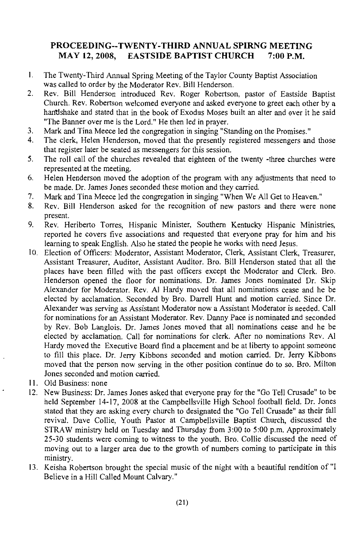#### PROCEEDING--TWENTY-THIRD ANNUAL SPIRNG MEETING MAY 12, 2008. EASTSIDE BAPTIST CHURCH 7:00 P.M.

- $\mathbf{1}$ . The Twenty-Third Annual Spring Meeting of the Taylor County Baptist Association was called to order by the Moderator Rev. Bill Henderson.
- $\overline{2}$ . Rev. Bill Henderson introduced Rev. Roger Robertson, pastor of Eastside Baptist Church. Rev. Robertson welcomed everyone and asked everyone to greet each other by a handshake and stated that in the book of Exodus Moses built an alter and over it he said "The Banner over me is the Lord." He then led in prayer.
- $\overline{3}$ . Mark and Tina Meece led the congregation in singing "Standing on the Promises."
- The clerk, Helen Henderson, moved that the presently registered messengers and those  $4<sup>2</sup>$ that register later be seated as messengers for this session.
- 5. The roll call of the churches revealed that eighteen of the twenty -three churches were represented at the meeting.
- 6. Helen Henderson moved the adoption of the program with any adjustments that need to be made. Dr. James Jones seconded these motion and they carried.
- 7. Mark and Tina Meece led the congregation in singing "When We All Get to Heaven."
- 8. Rev. Bill Henderson asked for the recognition of new pastors and there were none present.
- 9. Rev. Heriberto Torres, Hispanic Minister, Southern Kentucky Hispanic Ministries, reported he covers five associations and requested that everyone pray for him and his learning to speak English. Also he stated the people he works with need Jesus.
- 10. Election of Officers: Moderator, Assistant Moderator, Clerk, Assistant Clerk, Treasurer, Assistant Treasurer, Auditor, Assistant Auditor. Bro. Bill Henderson stated that all the places have been filled with the past officers except the Moderator and Clerk. Bro. Henderson opened the floor for nominations. Dr. James Jones nominated Dr. Skip Alexander for Moderator. Rev. Al Hardy moved that all nominations cease and he be elected by acclamation. Seconded by Bro. Darrell Hunt and motion carried. Since Dr. Alexander was serving as Assistant Moderator now a Assistant Moderator is needed. Call for nominations for an Assistant Moderator. Rev. Danny Pace is nominated and seconded by Rev. Bob Langlois. Dr. James Jones moved that all nominations cease and he be elected by acclamation. Call for nominations for clerk. After no nominations Rev. Al Hardy moved the Executive Board find a placement and be at liberty to appoint someone to fill this place. Dr. Jerry Kibbons seconded and motion carried. Dr. Jerry Kibbons moved that the person now serving in the other position continue do to so. Bro. Milton Jones seconded and motion carried.
- 11. Old Business: none
- 12. New Business: Dr. James Jones asked that everyone pray for the "Go Tell Crusade" to be held September 14-17, 2008 at the Campbellsville High School football field. Dr. Jones stated that they are asking every church to designated the "Go Tell Crusade" as their fall revival. Dave Collie, Youth Pastor at Campbellsville Baptist Church, discussed the STRAW ministry held on Tuesday and Thursday from 3:00 to 5:00 p.m. Approximately 25-30 students were coming to witness to the youth. Bro. Collie discussed the need of moving out to a larger area due to the growth of numbers coming to participate in this ministry.
- 13. Keisha Robertson brought the special music of the night with a beautiful rendition of "I Believe in a Hill Called Mount Calvary."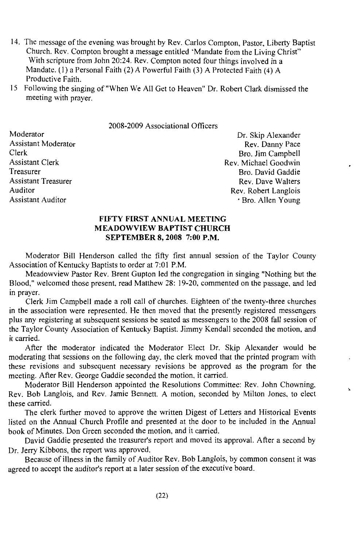- 14. The message of the evening was brought by Rev. Carlos Compton, Pastor, Liberty Baptist Church. Rev. Compton brought a message entitled 'Mandate from the Living Christ" With scripture from John 20:24. Rev. Compton noted four things involved in a Mandate. (1) a Personal Faith (2) A Powerful Faith (3) A Protected Faith (4) A Productive Faith
- 15 Following the singing of "When We All Get to Heaven" Dr. Robert Clark dismissed the meeting with prayer.

2008-2009 Associational Officers

Moderator **Assistant Moderator** Clerk **Assistant Clerk** Treasurer **Assistant Treasurer** Auditor **Assistant Auditor** 

Dr. Skip Alexander Rev. Danny Pace Bro. Jim Campbell Rev Michael Goodwin Bro. David Gaddie Rev. Dave Walters Rev. Robert Langlois · Bro. Allen Young

#### FIFTY FIRST ANNUAL MEETING **MEADOWVIEW BAPTIST CHURCH** SEPTEMBER 8, 2008 7:00 P.M.

Moderator Bill Henderson called the fifty first annual session of the Taylor County Association of Kentucky Baptists to order at 7:01 P.M.

Meadowyiew Pastor Rev. Brent Gupton led the congregation in singing "Nothing but the Blood," welcomed those present, read Matthew 28: 19-20, commented on the passage, and led in praver.

Clerk Jim Campbell made a roll call of churches. Eighteen of the twenty-three churches in the association were represented. He then moved that the presently registered messengers plus any registering at subsequent sessions be seated as messengers to the 2008 fall session of the Taylor County Association of Kentucky Baptist. Jimmy Kendall seconded the motion, and it carried.

After the moderator indicated the Moderator Elect Dr. Skip Alexander would be moderating that sessions on the following day, the clerk moved that the printed program with these revisions and subsequent necessary revisions be approved as the program for the meeting. After Rev. George Gaddie seconded the motion, it carried.

Moderator Bill Henderson appointed the Resolutions Committee: Rev. John Chowning, Rev. Bob Langlois, and Rev. Jamie Bennett. A motion, seconded by Milton Jones, to elect these carried.

The clerk further moved to approve the written Digest of Letters and Historical Events listed on the Annual Church Profile and presented at the door to be included in the Annual book of Minutes. Don Green seconded the motion, and it carried.

David Gaddie presented the treasurer's report and moved its approval. After a second by Dr. Jerry Kibbons, the report was approved.

Because of illness in the family of Auditor Rev. Bob Langlois, by common consent it was agreed to accept the auditor's report at a later session of the executive board.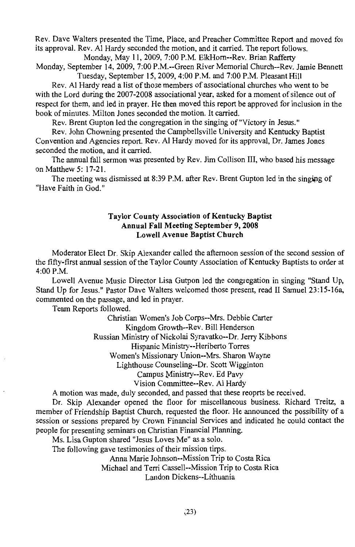Rev. Dave Walters presented the Time, Place, and Preacher Committee Report and moved for its approval. Rev. Al Hardy seconded the motion, and it carried. The report follows. Monday, May 11, 2009, 7:00 P.M. ElkHorn--Rev. Brian Rafferty

Monday, September 14, 2009, 7:00 P.M.--Green River Memorial Church--Rev. Jamie Bennett Tuesday, September 15, 2009, 4:00 P.M. and 7:00 P.M. Pleasant Hill

Rev. Al Hardy read a list of those members of associational churches who went to be with the Lord during the 2007-2008 associational year, asked for a moment of silence out of respect for them, and led in prayer. He then moved this report be approved for inclusion in the book of minutes. Milton Jones seconded the motion. It carried.

Rev. Brent Gupton led the congregation in the singing of "Victory in Jesus."

Rev. John Chowning presented the Campbellsville University and Kentucky Baptist Convention and Agencies report. Rev. Al Hardy moved for its approval, Dr. James Jones seconded the motion, and it carried.

The annual fall sermon was presented by Rev. Jim Collison III, who based his message on Matthew 5: 17-21.

The meeting was dismissed at 8:39 P.M. after Rev. Brent Gupton led in the singing of "Have Faith in God."

#### Taylor County Association of Kentucky Baptist Annual Fall Meeting September 9, 2008 Lowell Avenue Baptist Church

Moderator Elect Dr. Skip Alexander called the afternoon session of the second session of the fifty-first annual session of the Taylor County Association of Kentucky Baptists to order at 4:00 P.M.

Lowell Avenue Music Director Lisa Gutpon led the congregation in singing "Stand Up, Stand Up for Jesus." Pastor Dave Walters welcomed those present, read II Samuel 23:15-16a, commented on the passage, and led in prayer.

Team Reports followed.

Christian Women's Job Corps--Mrs. Debbie Carter

Kingdom Growth--Rev. Bill Henderson

Russian Ministry of Nickolai Syravatko--Dr. Jerry Kibbons

Hispanic Ministry--Heriberto Torres

Women's Missionary Union--Mrs. Sharon Wavne

Lighthouse Counseling--Dr. Scott Wigginton

Campus Ministry--Rev. Ed Pavy

Vision Committee--Rev. Al Hardy

A motion was made, duly seconded, and passed that these reoprts be received.

Dr. Skip Alexander opened the floor for miscellaneous business. Richard Treitz, a member of Friendship Baptist Church, requested the floor. He announced the possibility of a session or sessions prepared by Crown Financial Services and indicated he could contact the people for presenting seminars on Christian Financial Planning.

Ms. Lisa Gupton shared "Jesus Loves Me" as a solo.

The following gave testimonies of their mission tirps.

Anna Marie Johnson--Mission Trip to Costa Rica

Michael and Terri Cassell--Mission Trip to Costa Rica

Landon Dickens--Lithuania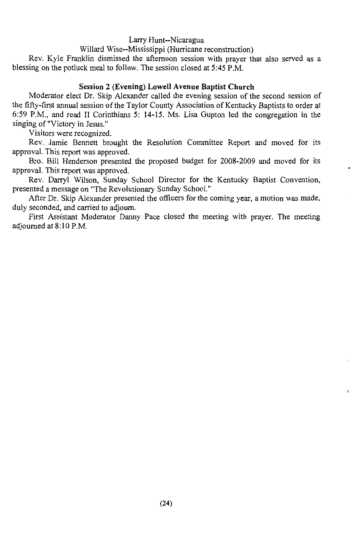Larry Hunt--Nicaragua

Willard Wise--Mississippi (Hurricane reconstruction)

Rev. Kyle Franklin dismissed the afternoon session with prayer that also served as a blessing on the potluck meal to follow. The session closed at 5:45 P.M.

#### Session 2 (Evening) Lowell Avenue Baptist Church

Moderator elect Dr. Skip Alexander called the evening session of the second session of the fifty-first annual session of the Taylor County Association of Kentucky Baptists to order at 6:59 P.M., and read II Corinthians 5: 14-15. Ms. Lisa Gupton led the congregation in the singing of "Victory in Jesus."

Visitors were recognized.

Rev. Jamie Bennett brought the Resolution Committee Report and moved for its approval. This report was approved.

Bro. Bill Henderson presented the proposed budget for 2008-2009 and moved for its approval. This report was approved.

Rev. Darryl Wilson, Sunday School Director for the Kentucky Baptist Convention, presented a message on "The Revolutionary Sunday School."

After Dr. Skip Alexander presented the officers for the coming year, a motion was made, duly seconded, and carried to adjourn.

First Assistant Moderator Danny Pace closed the meeting with prayer. The meeting adiourned at 8:10 P.M.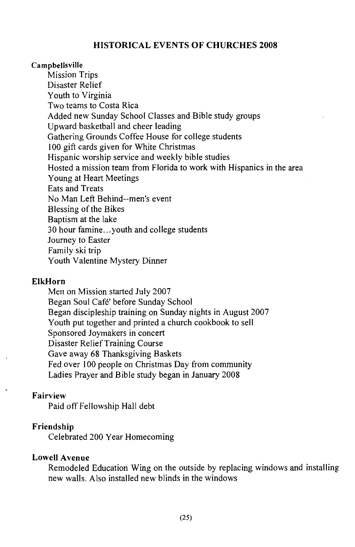#### **HISTORICAL EVENTS OF CHURCHES 2008**

#### Campbellsville

**Mission Trips** Disaster Relief Youth to Virginia Two teams to Costa Rica Added new Sunday School Classes and Bible study groups Upward basketball and cheer leading Gathering Grounds Coffee House for college students 100 gift cards given for White Christmas Hispanic worship service and weekly bible studies Hosted a mission team from Florida to work with Hispanics in the area Young at Heart Meetings **Eats and Treats** No Man Left Behind--men's event Blessing of the Bikes Baptism at the lake 30 hour famine...youth and college students Journey to Easter Family ski trip Youth Valentine Mystery Dinner

#### **ElkHorn**

Men on Mission started July 2007 Began Soul Café' before Sunday School Began discipleship training on Sunday nights in August 2007 Youth put together and printed a church cookbook to sell Sponsored Joymakers in concert Disaster Relief Training Course Gave away 68 Thanksgiving Baskets Fed over 100 people on Christmas Day from community Ladies Prayer and Bible study began in January 2008

#### Fairview

Paid off Fellowship Hall debt

#### Friendship

Celebrated 200 Year Homecoming

#### **Lowell Avenue**

Remodeled Education Wing on the outside by replacing windows and installing new walls. Also installed new hlinds in the windows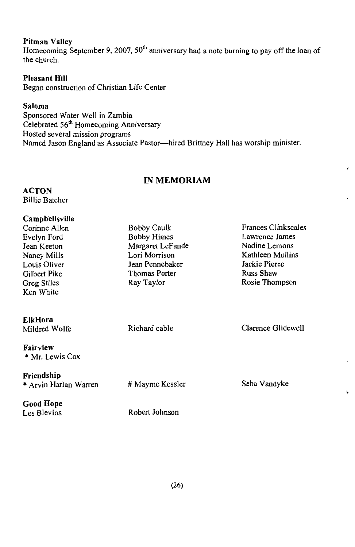#### **Pitman Valley**

Homecoming September 9, 2007, 50<sup>th</sup> anniversary had a note burning to pay off the loan of the church.

#### **Pleasant Hill**

Began construction of Christian Life Center

#### Saloma

Sponsored Water Well in Zambia Celebrated 56<sup>th</sup> Homecoming Anniversary Hosted several mission programs Named Jason England as Associate Pastor-hired Brittney Hall has worship minister.

#### **IN MEMORIAM**

 $\cdot$ 

 $\mathbf{r}$ 

**ACTON Billie Batcher** 

| Campbellsville                  |                    |                            |
|---------------------------------|--------------------|----------------------------|
| Corinne Allen                   | <b>Bobby Caulk</b> | <b>Frances Clinkscales</b> |
| Evelyn Ford                     | Bobby Himes        | Lawrence James             |
| Jean Keeton                     | Margaret LeFande   | Nadine Lemons              |
| Nancy Mills                     | Lori Morrison      | Kathleen Mullins           |
| Louis Oliver                    | Jean Pennebaker    | Jackie Pierce              |
| Gilbert Pike                    | Thomas Porter      | Russ Shaw                  |
| <b>Greg Stiles</b>              | Ray Taylor         | Rosie Thompson             |
| Ken White                       |                    |                            |
| <b>ElkHorn</b><br>Mildred Wolfe | Richard cable      | Clarence Glidewell         |
| Fairview<br>* Mr. Lewis Cox     |                    |                            |
| Friendship                      |                    |                            |
| * Arvin Harlan Warren           | # Mayme Kessler    | Seba Vandyke               |
| Good Hope                       |                    |                            |
| Les Blevins                     | Robert Johnson     |                            |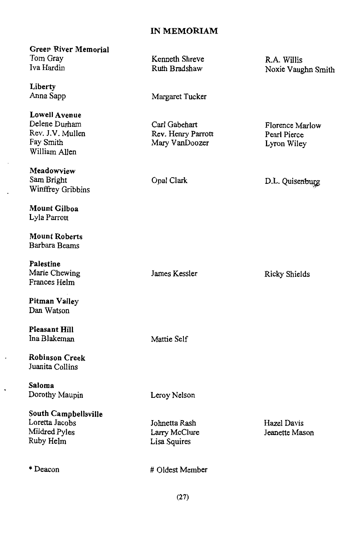#### **IN MEMORIAM**

**Green River Memorial** Tom Grav Iva Hardin

Liberty Anna Sapp

**Lowell Avenue** Delene Durham Rev. J.V. Mullen Fay Smith William Allen

Meadowview Sam Bright Winffrey Gribbins

Mount Gilboa Lyla Parrott

**Mount Roberts** Rarbara Beams

Palestine Marie Chewing Frances Helm

Pitman Valley Dan Watson

**Pleasant Hill** Ina Blakeman

**Robinson Creek** Juanita Collins

Saloma Dorothy Maupin

South Campbellsville Loretta Jacobs Mildred Pyles Ruby Helm

 $*$  Deacon

Kenneth Shreve Ruth Bradshaw

Margaret Tucker

Carl Gabehart Rev. Henry Parrott Mary VanDoozer

Opal Clark

R.A. Willis Noxie Vaughn Smith

Florence Marlow Pearl Pierce Lyron Wiley

D.L. Quisenburg

James Kessler

**Ricky Shields** 

Mattie Self

Leroy Nelson

Johnetta Rash Larry McClure Lisa Squires

Hazel Davis Jeanette Mason

# Oldest Member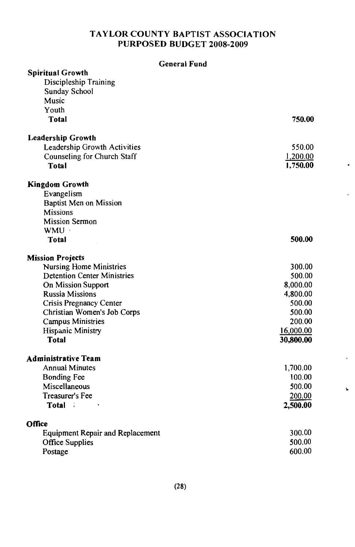#### TAYLOR COUNTY BAPTIST ASSOCIATION PURPOSED BUDGET 2008-2009

#### **General Fund**

,

| <b>Spiritual Growth</b>                 |           |
|-----------------------------------------|-----------|
| Discipleship Training                   |           |
| Sunday School                           |           |
| Music                                   |           |
| Youth                                   |           |
| Total                                   | 750.00    |
|                                         |           |
| <b>Leadership Growth</b>                |           |
| Leadership Growth Activities            | 550.00    |
| Counseling for Church Staff             | 1,200.00  |
| <b>Total</b>                            | 1,750.00  |
|                                         |           |
| <b>Kingdom Growth</b>                   |           |
| Evangelism                              |           |
| Baptist Men on Mission                  |           |
| <b>Missions</b>                         |           |
| <b>Mission Sermon</b>                   |           |
|                                         |           |
| WMU ·                                   |           |
| Total                                   | 500.00    |
| <b>Mission Projects</b>                 |           |
| Nursing Home Ministries                 | 300.00    |
| <b>Detention Center Ministries</b>      | 500.00    |
| On Mission Support                      | 8,000.00  |
| <b>Russia Missions</b>                  |           |
|                                         | 4,800.00  |
| Crisis Pregnancy Center                 | 500.00    |
| Christian Women's Job Corps             | 500.00    |
| <b>Campus Ministries</b>                | 200.00    |
| Hispanic Ministry                       | 16,000.00 |
| <b>Total</b>                            | 30,800.00 |
| <b>Administrative Team</b>              |           |
| <b>Annual Minutes</b>                   |           |
|                                         | 1,700.00  |
| <b>Bonding Fee</b>                      | 100.00    |
| Miscellaneous                           | 500.00    |
| Treasurer's Fee                         | 200.00    |
| Total :                                 | 2,500.00  |
| Office                                  |           |
| <b>Equipment Repair and Replacement</b> | 300.00    |
| Office Supplies                         | 500.00    |
| Postage                                 | 600.00    |
|                                         |           |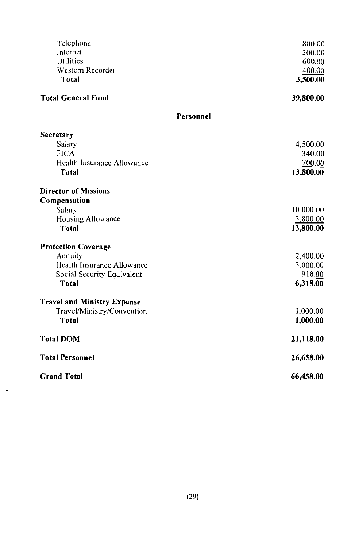| Telephone                          | 800.00    |
|------------------------------------|-----------|
| Internet                           | 300.00    |
| <b>Utilities</b>                   | 600.00    |
| Western Recorder                   | 400.00    |
| <b>Total</b>                       | 3,500.00  |
| <b>Total General Fund</b>          | 39,800.00 |
| Personnel                          |           |
| Secretary                          |           |
| Salary                             | 4,500.00  |
| <b>FICA</b>                        | 340.00    |
| Health Insurance Allowance         | 700.00    |
| Total                              | 13,800.00 |
| <b>Director of Missions</b>        |           |
| Compensation                       |           |
| Salary                             | 10,000.00 |
| Housing Allowance                  | 3,800.00  |
| Total                              | 13,800.00 |
| <b>Protection Coverage</b>         |           |
| Annuity                            | 2,400.00  |
| Health Insurance Allowance         | 3,000.00  |
| Social Security Equivalent         | 918.00    |
| <b>Total</b>                       | 6,318.00  |
| <b>Travel and Ministry Expense</b> |           |
| Travel/Ministry/Convention         | 1,000.00  |
| Total                              | 1,000.00  |
| <b>Total DOM</b>                   | 21,118.00 |
| <b>Total Personnel</b>             | 26,658.00 |
| <b>Grand Total</b>                 | 66,458.00 |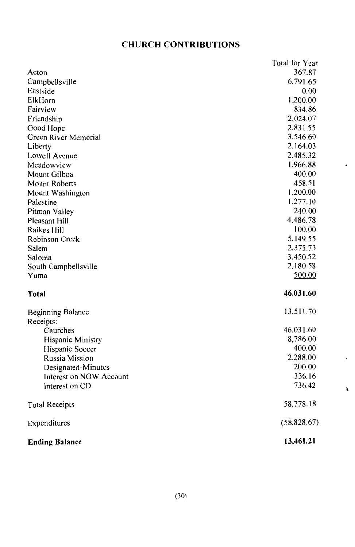## **CHURCH CONTRIBUTIONS**

|                          | Total for Year |
|--------------------------|----------------|
| Acton                    | 367.87         |
| Campbellsville           | 6,791.65       |
| Eastside                 | 0.00           |
| ElkHorn                  | 1,200.00       |
| Fairview                 | 834.86         |
| Friendship               | 2,024.07       |
| Good Hope                | 2,831.55       |
| Green River Memorial     | 3.546.60       |
| Liberty                  | 2,164.03       |
| Lowell Avenue            | 2,485.32       |
| Meadowview               | 1,966.88       |
| Mount Gilboa             | 400.00         |
| Mount Roberts            | 458.51         |
| Mount Washington         | 1,200.00       |
| Palestine                | 1,277.10       |
| Pitman Valley            | 240.00         |
| Pleasant Hill            | 4,486.78       |
| Raikes Hill              | 100.00         |
| Robinson Creek           | 5,149.55       |
| Salem                    | 2,375.73       |
| Saloma                   | 3,450.52       |
| South Campbellsville     | 2,180.58       |
| Yuma                     | 500.00         |
| Total                    | 46,031.60      |
| <b>Beginning Balance</b> | 13.511.70      |
| Receipts:                |                |
| Churches                 | 46,031.60      |
| Hispanic Ministry        | 8,786.00       |
| Hispanic Soccer          | 400.00         |
| Russia Mission           | 2,288.00       |
| Designated-Minutes       | 200.00         |
| Interest on NOW Account  | 336.16         |
| Interest on CD           | 736.42         |
| <b>Total Receipts</b>    | 58,778.18      |
| Expenditures             | (58, 828.67)   |
| <b>Ending Balance</b>    | 13,461.21      |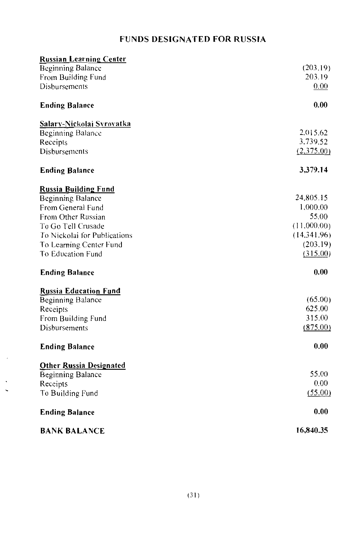## **FUNDS DESIGNATED FOR RUSSIA**

| Russian Learning Center        |             |
|--------------------------------|-------------|
| <b>Beginning Balance</b>       | (203.19)    |
| From Building Fund             | 203.19      |
| Disbursements                  | 0.00        |
| <b>Ending Balance</b>          | 0.00        |
| Salary-Nickolai Syrovatka      |             |
| Beginning Balance              | 2,015.62    |
| Receipts                       | 3,739.52    |
| Disbursements                  | (2,375.00)  |
| <b>Ending Balance</b>          | 3,379.14    |
| <b>Russia Building Fund</b>    |             |
| Beginning Balance              | 24,805.15   |
| From General Fund              | 1,000.00    |
| From Other Russian             | 55.00       |
| To Go Tell Crusade             | (11.000.00) |
| To Nickolai for Publications   | (14.341.96) |
| To Learning Center Fund        | (203.19)    |
| To Education Fund              | (315.00)    |
| <b>Ending Balance</b>          | 0.00        |
| <b>Russia Education Fund</b>   |             |
| <b>Beginning Balance</b>       | (65.00)     |
| Receipts                       | 625.00      |
| From Building Fund             | 315.00      |
| Disbursements                  | (875.00)    |
| <b>Ending Balance</b>          | 0.00        |
| <b>Other Russia Designated</b> |             |
| Beginning Balance              | 55.00       |
| Receipts                       | 0.00        |
| To Building Fund               | (55.00)     |
| <b>Ending Balance</b>          | 0.00        |
| <b>BANK BALANCE</b>            | 16,840.35   |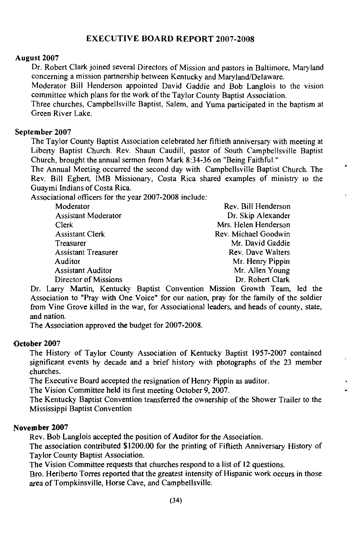#### **EXECUTIVE BOARD REPORT 2007-2008**

#### August 2007

Dr. Robert Clark joined several Directors of Mission and pastors in Baltimore, Maryland concerning a mission partnership between Kentucky and Maryland/Delaware.

Moderator Bill Henderson appointed David Gaddie and Bob Langlois to the vision committee which plans for the work of the Taylor County Baptist Association.

Three churches, Campbellsville Baptist, Salem, and Yuma participated in the baptism at Green River Lake.

#### September 2007

The Taylor County Baptist Association celebrated her fiftieth anniversary with meeting at Liberty Baptist Church. Rev. Shaun Caudill, pastor of South Campbellsville Baptist Church, brought the annual sermon from Mark 8:34-36 on "Being Faithful."

 $\lambda$ 

The Annual Meeting occurred the second day with Campbellsville Baptist Church. The Rev. Bill Egbert, IMB Missionary, Costa Rica shared examples of ministry to the Guavmi Indians of Costa Rica.

Associational officers for the year 2007-2008 include:

| Moderator                  | Rev. Bill Henderson  |
|----------------------------|----------------------|
| <b>Assistant Moderator</b> | Dr. Skip Alexander   |
| Clerk                      | Mrs. Helen Henderson |
| <b>Assistant Clerk</b>     | Rev. Michael Goodwin |
| Treasurer                  | Mr. David Gaddie     |
| <b>Assistant Treasurer</b> | Rev. Dave Walters    |
| Auditor                    | Mr. Henry Pippin     |
| <b>Assistant Auditor</b>   | Mr. Allen Young      |
| Director of Missions       | Dr. Robert Clark     |

Dr. Larry Martin, Kentucky Baptist Convention Mission Growth Team, led the Association to "Pray with One Voice" for our nation, pray for the family of the soldier from Vine Grove killed in the war, for Associational leaders, and heads of county, state, and nation.

The Association approved the budget for 2007-2008.

#### October 2007

The History of Taylor County Association of Kentucky Baptist 1957-2007 contained significant events by decade and a brief history with photographs of the 23 member churches.

The Executive Board accepted the resignation of Henry Pippin as auditor.

The Vision Committee held its first meeting October 9, 2007.

The Kentucky Baptist Convention transferred the ownership of the Shower Trailer to the **Mississippi Baptist Convention** 

#### November 2007

Rev. Bob Langlois accepted the position of Auditor for the Association.

The association contributed \$1200.00 for the printing of Fiftieth Anniversary History of **Taylor County Baptist Association.** 

The Vision Committee requests that churches respond to a list of 12 questions.

Bro. Heriberto Torres reported that the greatest intensity of Hispanic work occurs in those area of Tompkinsville, Horse Cave, and Campbellsville.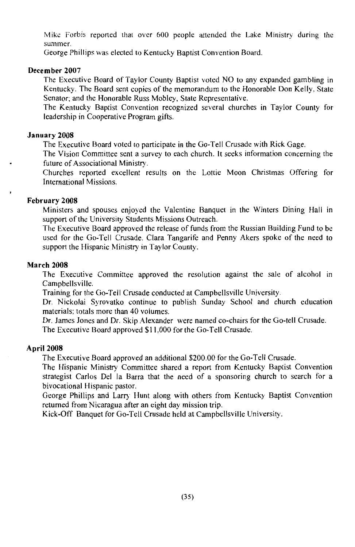Mike Forbis reported that over 600 people attended the Lake Ministry during the summer.

George Phillips was elected to Kentucky Baptist Convention Board.

#### December 2007

The Executive Board of Taylor County Baptist voted NO to any expanded gambling in Kentucky. The Board sent copies of the memorandum to the Honorable Don Kelly, State Senator; and the Honorable Russ Mobley, State Representative.

The Kentucky Baptist Convention recognized several churches in Taylor County for leadership in Cooperative Program gifts.

#### January 2008

The Executive Board voted to participate in the Go-Tell Crusade with Rick Gage.

The Vision Committee sent a survey to each church. It seeks information concerning the future of Associational Ministry.

Churches reported excellent results on the Lottie Moon Christmas Offering for **International Missions** 

#### February 2008

Ministers and spouses enjoyed the Valentine Banquet in the Winters Dining Hall in support of the University Students Missions Outreach.

The Executive Board approved the release of funds from the Russian Building Fund to be used for the Go-Tell Crusade. Clara Tangarife and Penny Akers spoke of the need to support the Hispanic Ministry in Taylor County.

#### **March 2008**

The Executive Committee approved the resolution against the sale of alcohol in Campbellsville.

Training for the Go-Tell Crusade conducted at Campbellsville University.

Dr. Nickolai Syrovatko continue to publish Sunday School and church education materials: totals more than 40 volumes.

Dr. James Jones and Dr. Skip Alexander were named co-chairs for the Go-tell Crusade. The Executive Board approved \$11,000 for the Go-Tell Crusade.

#### **April 2008**

The Executive Board approved an additional \$200.00 for the Go-Tell Crusade.

The Hispanic Ministry Committee shared a report from Kentucky Baptist Convention strategist Carlos Del la Barra that the need of a sponsoring church to search for a bivocational Hispanic pastor.

George Phillips and Larry Hunt along with others from Kentucky Baptist Convention returned from Nicaragua after an eight day mission trip.

Kick-Off Banquet for Go-Tell Crusade held at Campbellsville University.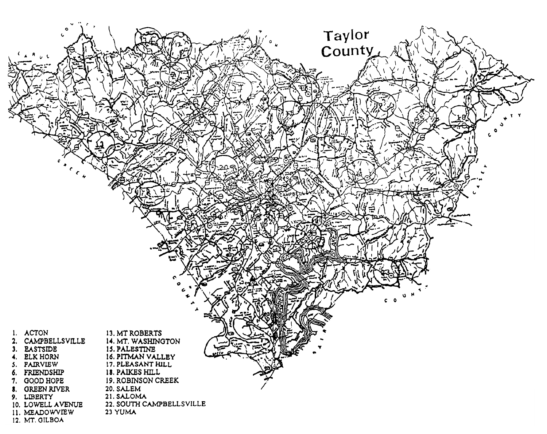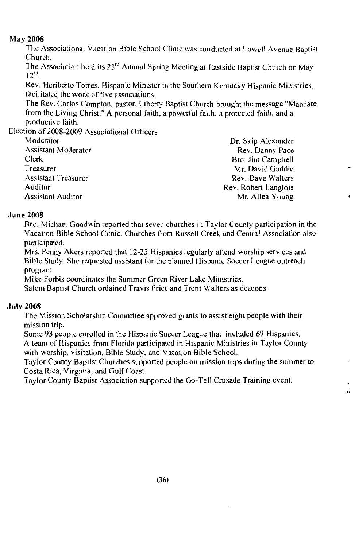#### **May 2008**

The Associational Vacation Bible School Clinic was conducted at Lowell Avenue Baptist Church.

The Association held its 23<sup>rd</sup> Annual Spring Meeting at Eastside Baptist Church on May  $12<sup>th</sup>$ 

Rev. Heriberto Torres, Hispanic Minister to the Southern Kentucky Hispanic Ministries, facilitated the work of five associations.

The Rev. Carlos Compton, pastor, Liberty Baptist Church brought the message "Mandate" from the Living Christ." A personal faith, a powerful faith, a protected faith, and a productive faith.

L.

J.

Election of 2008-2009 Associational Officers

| Moderator                | Dr. Skip Alexander   |
|--------------------------|----------------------|
| Assistant Moderator      | Rev. Danny Pace      |
| Clerk                    | Bro. Jim Campbell    |
| Treasurer                | Mr. David Gaddie     |
| Assistant Treasurer      | Rev. Dave Walters    |
| Auditor                  | Rev. Robert Langlois |
| <b>Assistant Auditor</b> | Mr. Allen Young      |

#### **June 2008**

Bro. Michael Goodwin reported that seven churches in Taylor County participation in the Vacation Bible School Clinic. Churches from Russell Creek and Central Association also participated.

Mrs. Penny Akers reported that 12-25 Hispanics regularly attend worship services and Bible Study. She requested assistant for the planned Hispanic Soccer League outreach program.

Mike Forbis coordinates the Summer Green River Lake Ministries.

Salem Baptist Church ordained Travis Price and Trent Walters as deacons.

#### **July 2008**

The Mission Scholarship Committee approved grants to assist eight people with their mission trip.

Some 93 people enrolled in the Hispanic Soccer League that included 69 Hispanics. A team of Hispanics from Florida participated in Hispanic Ministries in Taylor County with worship, visitation, Bible Study, and Vacation Bible School.

Taylor County Baptist Churches supported people on mission trips during the summer to Costa Rica, Virginia, and Gulf Coast.

Taylor County Baptist Association supported the Go-Tell Crusade Training event.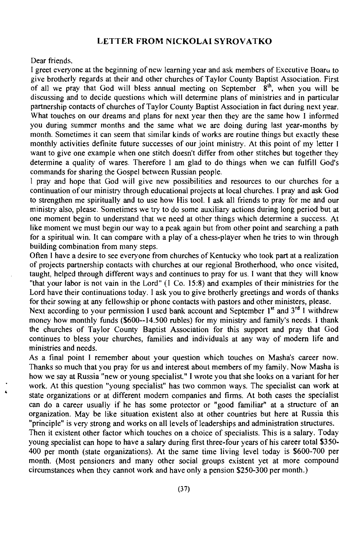#### **LETTER FROM NICKOLAI SYROVATKO**

Dear friends.

I greet everyone at the beginning of new learning year and ask members of Executive Boaru to give brotherly regards at their and other churches of Taylor County Baptist Association. First of all we pray that God will bless annual meeting on September  $\dot{8}^{\text{th}}$ , when you will be discussing and to decide questions which will determine plans of ministries and in particular partnership contacts of churches of Taylor County Baptist Association in fact during next year. What touches on our dreams and plans for next year then they are the same how I informed you during summer months and the same what we are doing during last year-months by month. Sometimes it can seem that similar kinds of works are routine things but exactly these monthly activities definite future successes of our joint ministry. At this point of my letter I want to give one example when one stitch doesn't differ from other stitches but together they determine a quality of wares. Therefore I am glad to do things when we can fulfill God's commands for sharing the Gospel between Russian people.

I pray and hope that God will give new possibilities and resources to our churches for a continuation of our ministry through educational projects at local churches. I pray and ask God to strengthen me spiritually and to use how His tool. I ask all friends to pray for me and our ministry also, please. Sometimes we try to do some auxiliary actions during long period but at one moment begin to understand that we need at other things which determine a success. At like moment we must begin our way to a peak again but from other point and searching a path for a spiritual win. It can compare with a play of a chess-player when he tries to win through building combination from many steps.

Often I have a desire to see everyone from churches of Kentucky who took part at a realization of projects partnership contacts with churches at our regional Brotherhood, who once visited, taught, helped through different ways and continues to pray for us. I want that they will know "that your labor is not vain in the Lord" (I Co. 15:8) and examples of their ministries for the Lord have their continuations today. I ask you to give brotherly greetings and words of thanks for their sowing at any fellowship or phone contacts with pastors and other ministers, please.

Next according to your permission I used bank account and September 1<sup>st</sup> and 3<sup>rd</sup> I withdrew money how monthly funds (\$600--14.500 rubles) for my ministry and family's needs. I thank the churches of Taylor County Baptist Association for this support and pray that God continues to bless your churches, families and individuals at any way of modern life and ministries and needs.

As a final point I remember about your question which touches on Masha's career now. Thanks so much that you pray for us and interest about members of my family. Now Masha is how we say at Russia "new or young specialist." I wrote you that she looks on a variant for her work. At this question "young specialist" has two common ways. The specialist can work at state organizations or at different modern companies and firms. At both cases the specialist can do a career usually if he has some protector or "good familiar" at a structure of an organization. May be like situation existent also at other countries but here at Russia this "principle" is very strong and works on all levels of leaderships and administration structures.

Then it existent other factor which touches on a choice of specialists. This is a salary. Today young specialist can hope to have a salary during first three-four years of his career total \$350-400 per month (state organizations). At the same time living level today is \$600-700 per month. (Most pensioners and many other social groups existent yet at more compound circumstances when they cannot work and have only a pension \$250-300 per month.)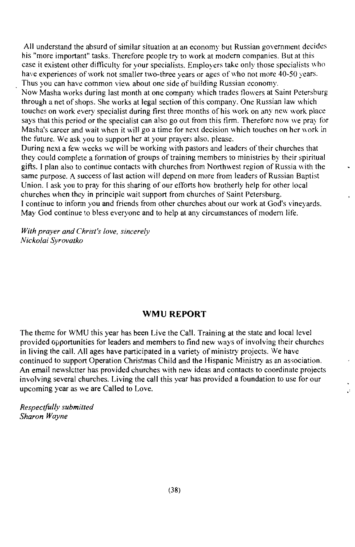All understand the absurd of similar situation at an economy but Russian government decides his "more important" tasks. Therefore people try to work at modern companies. But at this case it existent other difficulty for your specialists. Employers take only those specialists who have experiences of work not smaller two-three years or ages of who not more 40-50 years. Thus you can have common view about one side of building Russian economy.

Now Masha works during last month at one company which trades flowers at Saint Petersburg through a net of shops. She works at legal section of this company. One Russian law which touches on work every specialist during first three months of his work on any new work place says that this period or the specialist can also go out from this firm. Therefore now we pray for Masha's career and wait when it will go a time for next decision which touches on her work in the future. We ask you to support her at your prayers also, please.

During next a few weeks we will be working with pastors and leaders of their churches that they could complete a formation of groups of training members to ministries by their spiritual gifts. I plan also to continue contacts with churches from Northwest region of Russia with the same purpose. A success of last action will depend on more from leaders of Russian Baptist Union. I ask you to pray for this sharing of our efforts how brotherly help for other local churches when they in principle wait support from churches of Saint Petersburg. I continue to inform you and friends from other churches about our work at God's vineyards. May God continue to bless everyone and to help at any circumstances of modern life.

With prayer and Christ's love, sincerely Nickolai Svrovatko

#### **WMU REPORT**

The theme for WMU this year has been Live the Call. Training at the state and local level provided opportunities for leaders and members to find new ways of involving their churches in living the call. All ages have participated in a variety of ministry projects. We have continued to support Operation Christmas Child and the Hispanic Ministry as an association. An email newsletter has provided churches with new ideas and contacts to coordinate projects involving several churches. Living the call this year has provided a foundation to use for our upcoming year as we are Called to Love.

 $\ddot{\phantom{a}}$ 

Respectfully submitted Sharon Wayne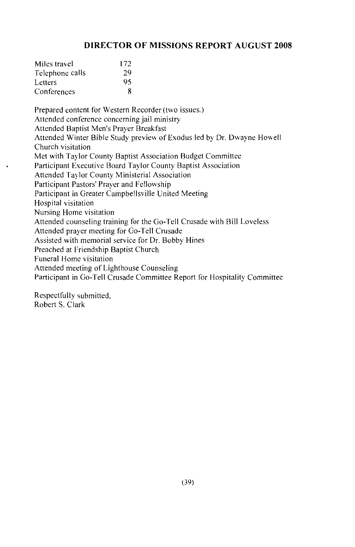#### **DIRECTOR OF MISSIONS REPORT AUGUST 2008**

| Miles travel    | 172 |
|-----------------|-----|
| Telephone calls | 29  |
| Letters         | 95  |
| Conferences     | 8   |

Prepared content for Western Recorder (two issues.) Attended conference concerning jail ministry Attended Baptist Men's Prayer Breakfast Attended Winter Bible Study preview of Exodus led by Dr. Dwayne Howell Church visitation Met with Taylor County Baptist Association Budget Committee Participant Executive Board Taylor County Baptist Association Attended Taylor County Ministerial Association Participant Pastors' Prayer and Fellowship Participant in Greater Campbellsville United Meeting Hospital visitation Nursing Home visitation Attended counseling training for the Go-Tell Crusade with Bill Loveless Attended prayer meeting for Go-Tell Crusade Assisted with memorial service for Dr. Bobby Hines Preached at Friendship Baptist Church Funeral Home visitation Attended meeting of Lighthouse Counseling Participant in Go-Tell Crusade Committee Report for Hospitality Committee

Respectfully submitted, Robert S. Clark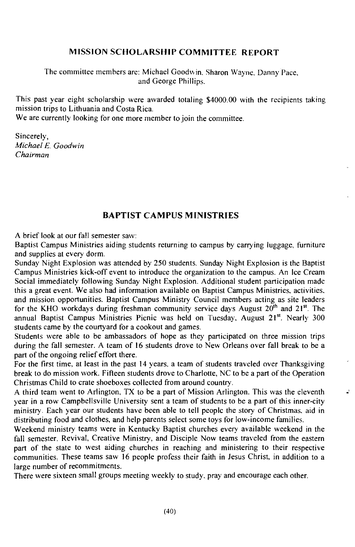#### **MISSION SCHOLARSHIP COMMITTEE REPORT**

The committee members are: Michael Goodwin, Sharon Wayne, Danny Pace, and George Phillips.

This past year eight scholarship were awarded totaling \$4000.00 with the recipients taking mission trips to Lithuania and Costa Rica.

We are currently looking for one more member to join the committee.

Sincerely, Michael E. Goodwin  $Chairman$ 

#### **BAPTIST CAMPUS MINISTRIES**

A brief look at our fall semester saw:

Baptist Campus Ministries aiding students returning to campus by carrying luggage, furniture and supplies at every dorm.

Sunday Night Explosion was attended by 250 students. Sunday Night Explosion is the Baptist Campus Ministries kick-off event to introduce the organization to the campus. An Ice Cream Social immediately following Sunday Night Explosion. Additional student participation made this a great event. We also had information available on Baptist Campus Ministries, activities, and mission opportunities. Baptist Campus Ministry Council members acting as site leaders for the KHO workdays during freshman community service days August 20<sup>th</sup> and 21<sup>st</sup>. The annual Baptist Campus Ministries Picnic was held on Tuesday, August 21<sup>st</sup>. Nearly 300 students came by the courtyard for a cookout and games.

Students were able to be ambassadors of hope as they participated on three mission trips during the fall semester. A team of 16 students drove to New Orleans over fall break to be a part of the ongoing relief effort there.

For the first time, at least in the past 14 years, a team of students traveled over Thanksgiving break to do mission work. Fifteen students drove to Charlotte, NC to be a part of the Operation Christmas Child to crate shoeboxes collected from around country.

A third team went to Arlington, TX to be a part of Mission Arlington. This was the eleventh year in a row Campbellsville University sent a team of students to be a part of this inner-city ministry. Each year our students have been able to tell people the story of Christmas, aid in distributing food and clothes, and help parents select some toys for low-income families.

 $\vec{a}$ 

Weekend ministry teams were in Kentucky Baptist churches every available weekend in the fall semester. Revival, Creative Ministry, and Disciple Now teams traveled from the eastern part of the state to west aiding churches in reaching and ministering to their respective communities. These teams saw 16 people profess their faith in Jesus Christ, in addition to a large number of recommitments.

There were sixteen small groups meeting weekly to study, pray and encourage each other.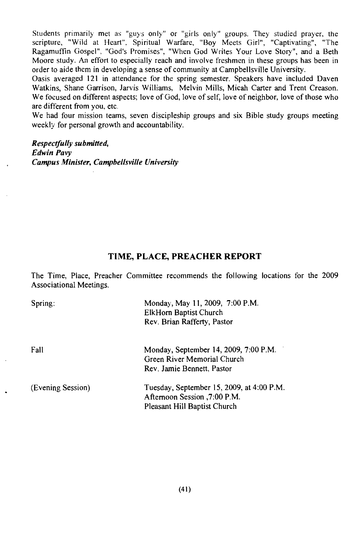Students primarily met as "guys only" or "girls only" groups. They studied prayer, the scripture, "Wild at Heart", Spiritual Warfare, "Boy Meets Girl", "Captivating", "The Ragamuffin Gospel", "God's Promises", "When God Writes Your Love Story", and a Beth Moore study. An effort to especially reach and involve freshmen in these groups has been in order to aide them in developing a sense of community at Campbellsville University.

Oasis averaged 121 in attendance for the spring semester. Speakers have included Daven Watkins, Shane Garrison, Jarvis Williams, Melvin Mills, Micah Carter and Trent Creason. We focused on different aspects; love of God, love of self, love of neighbor, love of those who are different from you, etc.

We had four mission teams, seven discipleship groups and six Bible study groups meeting weekly for personal growth and accountability.

#### Respectfully submitted, **Edwin Pavy** Campus Minister, Campbellsville University

#### TIME, PLACE, PREACHER REPORT

The Time, Place, Preacher Committee recommends the following locations for the 2009 Associational Meetings.

| Spring:           | Monday, May 11, 2009, 7:00 P.M.<br>ElkHorn Baptist Church<br>Rev. Brian Rafferty, Pastor                  |
|-------------------|-----------------------------------------------------------------------------------------------------------|
| Fall              | Monday, September 14, 2009, 7:00 P.M.<br>Green River Memorial Church<br>Rev. Jamie Bennett, Pastor        |
| (Evening Session) | Tuesday, September 15, 2009, at 4:00 P.M.<br>Afternoon Session .7:00 P.M.<br>Pleasant Hill Baptist Church |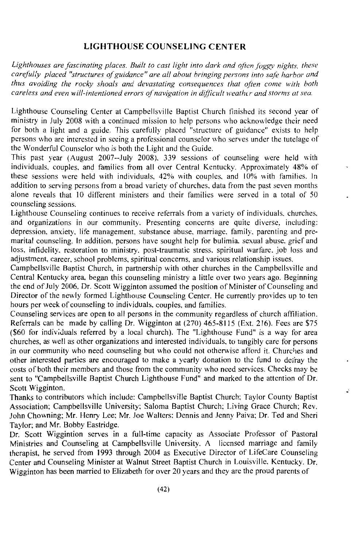#### **LIGHTHOUSE COUNSELING CENTER**

Lighthouses are fascinating places. Built to cast light into dark and often foggy nights, these carefully placed "structures of guidance" are all about bringing persons into safe harbor and thus avoiding the rocky shoals and devastating consequences that often come with both careless and even will-intentioned errors of navigation in difficult weather and storms at sea.

Lighthouse Counseling Center at Campbellsville Baptist Church finished its second year of ministry in July 2008 with a continued mission to help persons who acknowledge their need for both a light and a guide. This carefully placed "structure of guidance" exists to help persons who are interested in seeing a professional counselor who serves under the tutelage of the Wonderful Counselor who is both the Light and the Guide.

This past year (August 2007--July 2008), 339 sessions of counseling were held with individuals, couples, and families from all over Central Kentucky. Approximately 48% of these sessions were held with individuals, 42% with couples, and 10% with families. In addition to serving persons from a broad variety of churches, data from the past seven months alone reveals that 10 different ministers and their families were served in a total of 50 counseling sessions.

Lighthouse Counseling continues to receive referrals from a variety of individuals, churches, and organizations in our community. Presenting concerns are quite diverse, including: depression, anxiety, life management, substance abuse, marriage, family, parenting and premarital counseling. In addition, persons have sought help for bulimia, sexual abuse, grief and loss, infidelity, restoration to ministry, post-traumatic stress, spiritual warfare, job loss and adjustment, career, school problems, spiritual concerns, and various relationship issues.

Campbellsville Baptist Church, in partnership with other churches in the Campbellsville and Central Kentucky area, began this counseling ministry a little over two years ago. Beginning the end of July 2006, Dr. Scott Wigginton assumed the position of Minister of Counseling and Director of the newly formed Lighthouse Counseling Center. He currently provides up to ten hours per week of counseling to individuals, couples, and families.

Counseling services are open to all persons in the community regardless of church affiliation. Referrals can be made by calling Dr. Wigginton at (270) 465-8115 (Ext. 216). Fees are \$75 (\$60 for individuals referred by a local church). The "Lighthouse Fund" is a way for area churches, as well as other organizations and interested individuals, to tangibly care for persons in our community who need counseling but who could not otherwise afford it. Churches and other interested parties are encouraged to make a yearly donation to the fund to defray the costs of both their members and those from the community who need services. Checks may be sent to "Campbellsville Baptist Church Lighthouse Fund" and marked to the attention of Dr. Scott Wigginton.

Thanks to contributors which include: Campbellsville Baptist Church: Taylor County Baptist Association; Campbellsville University; Saloma Baptist Church; Living Grace Church; Rev. John Chowning; Mr. Henry Lee; Mr. Joe Walters; Dennis and Jenny Paiva; Dr. Ted and Sheri Taylor: and Mr. Bobby Eastridge.

Dr. Scott Wiggintion serves in a full-time capacity as Associate Professor of Pastoral Ministries and Counseling at Campbellsville University. A licensed marriage and family therapist, he served from 1993 through 2004 as Executive Director of LifeCare Counseling Center and Counseling Minister at Walnut Street Baptist Church in Louisville, Kentucky. Dr. Wigginton has been married to Elizabeth for over 20 years and they are the proud parents of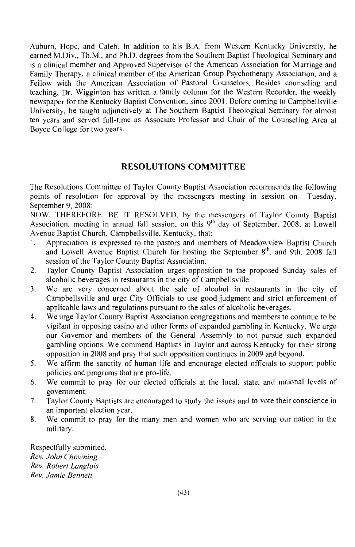Auburn, Hope, and Caleb. In addition to his B.A. from Western Kentucky University, he earned M.Div., Th.M., and Ph.D. degrees from the Southern Baptist Theological Seminary and is a clinical member and Approved Supervisor of the American Association for Marriage and Family Therapy, a clinical member of the American Group Psychotherapy Association, and a Fellow with the American Association of Pastoral Counselors. Besides counseling and teaching. Dr. Wigginton has written a family column for the Western Recorder, the weekly newspaper for the Kentucky Baptist Convention, since 2001. Before coming to Campbellsville University, he taught adjunctively at The Southern Baptist Theological Seminary for almost ten years and served full-time as Associate Professor and Chair of the Counseling Area at Boyce College for two years.

#### **RESOLUTIONS COMMITTEE**

The Resolutions Committee of Taylor County Baptist Association recommends the following points of resolution for approval by the messengers meeting in session on Tuesday. September 9, 2008:

NOW, THEREFORE, BE IT RESOLVED, by the messengers of Taylor County Baptist Association, meeting in annual fall session, on this 9<sup>th</sup> day of September, 2008, at Lowell Avenue Baptist Church, Campbellsville, Kentucky, that:

- Appreciation is expressed to the pastors and members of Meadowview Baptist Church Ť. and Lowell Avenue Baptist Church for hosting the September 8<sup>th</sup>, and 9th, 2008 fall session of the Taylor County Baptist Association.
- Taylor County Baptist Association urges opposition to the proposed Sunday sales of  $2.$ alcoholic beverages in restaurants in the city of Campbellsville.
- We are very concerned about the sale of alcohol in restaurants in the city of  $3<sub>1</sub>$ Campbellsville and urge City Officials to use good judgment and strict enforcement of applicable laws and regulations pursuant to the sales of alcoholic beverages.
- $4.$ We urge Taylor County Baptist Association congregations and members to continue to be vigilant in opposing casino and other forms of expanded gambling in Kentucky. We urge our Governor and members of the General Assembly to not pursue such expanded gambling options. We commend Baptists in Taylor and across Kentucky for their strong opposition in 2008 and pray that such opposition continues in 2009 and beyond.
- 5. We affirm the sanctity of human life and encourage elected officials to support public policies and programs that are pro-life.
- 6. We commit to pray for our elected officials at the local, state, and national levels of government.
- Taylor County Baptists are encouraged to study the issues and to vote their conscience in 7. an important election year.
- 8. We commit to pray for the many men and women who are serving our nation in the military.

Respectfully submitted, Rev. John Chowning Rev. Robert Langlois Rev. Jamie Bennett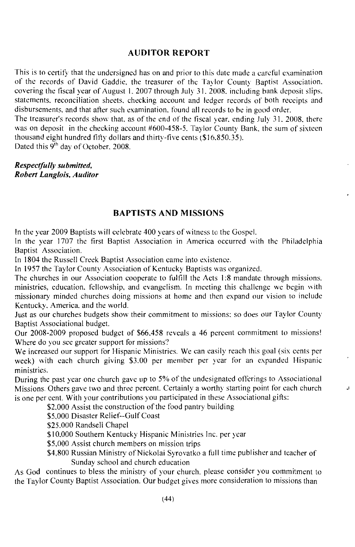#### **AUDITOR REPORT**

This is to certify that the undersigned has on and prior to this date made a careful examination of the records of David Gaddie, the treasurer of the Taylor County Baptist Association. covering the fiscal year of August 1, 2007 through July 31, 2008, including bank deposit slips. statements, reconciliation sheets, checking account and ledger records of both receipts and disbursements, and that after such examination, found all records to be in good order.

The treasurer's records show that, as of the end of the fiscal year, ending July 31, 2008, there was on deposit in the checking account #600-458-5. Taylor County Bank, the sum of sixteen thousand eight hundred fifty dollars and thirty-five cents (\$16,850.35).

Dated this 9<sup>th</sup> day of October, 2008.

Respectfully submitted, **Robert Langlois, Auditor** 

#### **BAPTISTS AND MISSIONS**

In the year 2009 Baptists will celebrate 400 years of witness to the Gospel.

In the year 1707 the first Baptist Association in America occurred with the Philadelphia Baptist Association.

In 1804 the Russell Creek Baptist Association came into existence.

In 1957 the Taylor County Association of Kentucky Baptists was organized.

The churches in our Association cooperate to fulfill the Acts 1:8 mandate through missions. ministries, education, fellowship, and evangelism. In meeting this challenge we begin with missionary minded churches doing missions at home and then expand our vision to include Kentucky, America, and the world.

Just as our churches budgets show their commitment to missions; so does our Taylor County Baptist Associational budget.

Our 2008-2009 proposed budget of \$66,458 reveals a 46 percent commitment to missions! Where do you see greater support for missions?

We increased our support for Hispanic Ministries. We can easily reach this goal (six cents per week) with each church giving \$3.00 per member per year for an expanded Hispanic ministries.

During the past year one church gave up to 5% of the undesignated offerings to Associational Missions. Others gave two and three percent. Certainly a worthy starting point for each church is one per cent. With your contributions you participated in these Associational gifts:

\$2,000 Assist the construction of the food pantry building

\$5,000 Disaster Relief--Gulf Coast

\$25,000 Randsell Chapel

\$10,000 Southern Kentucky Hispanic Ministries Inc. per year

\$5,000 Assist church members on mission trips

\$4,800 Russian Ministry of Nickolai Syrovatko a full time publisher and teacher of Sunday school and church education

 $\mathbf{I}$ 

As God continues to bless the ministry of your church, please consider you commitment to the Taylor County Baptist Association. Our budget gives more consideration to missions than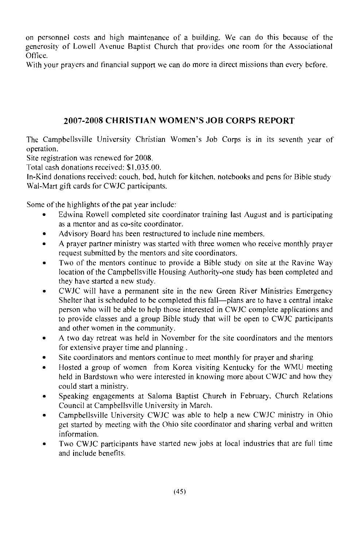on personnel costs and high maintenance of a building. We can do this because of the generosity of Lowell Avenue Baptist Church that provides one room for the Associational Office.

With your prayers and financial support we can do more in direct missions than every before.

#### 2007-2008 CHRISTIAN WOMEN'S JOB CORPS REPORT

The Campbells ville University Christian Women's Job Corps is in its seventh year of operation.

Site registration was renewed for 2008.

Total cash donations received: \$1,035,00.

In-Kind donations received: couch, bed, hutch for kitchen, notebooks and pens for Bible study Wal-Mart gift cards for CWJC participants.

Some of the highlights of the pat year include:

- Edwina Rowell completed site coordinator training last August and is participating as a mentor and as co-site coordinator.
- Advisory Board has been restructured to include nine members.
- A prayer partner ministry was started with three women who receive monthly prayer  $\bullet$ request submitted by the mentors and site coordinators.
- Two of the mentors continue to provide a Bible study on site at the Ravine Way  $\bullet$ location of the Campbellsville Housing Authority-one study has been completed and they have started a new study.
- CWJC will have a permanent site in the new Green River Ministries Emergency Shelter that is scheduled to be completed this fall-plans are to have a central intake person who will be able to help those interested in CWJC complete applications and to provide classes and a group Bible study that will be open to CWJC participants and other women in the community.
- A two day retreat was held in November for the site coordinators and the mentors for extensive prayer time and planning.
- Site coordinators and mentors continue to meet monthly for prayer and sharing
- Hosted a group of women from Korea visiting Kentucky for the WMU meeting held in Bardstown who were interested in knowing more about CWJC and how they could start a ministry.
- Speaking engagements at Saloma Baptist Church in February, Church Relations Council at Campbellsville University in March.
- Campbellsville University CWJC was able to help a new CWJC ministry in Ohio get started by meeting with the Ohio site coordinator and sharing verbal and written information.
- Two CWJC participants have started new jobs at local industries that are full time and include benefits.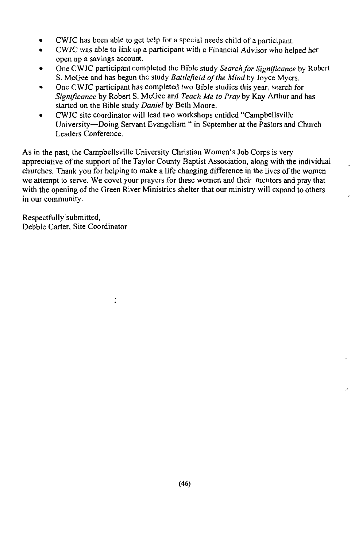- CWJC has been able to get help for a special needs child of a participant.
- CWJC was able to link up a participant with a Financial Advisor who helped her open up a savings account.
- One CWJC participant completed the Bible study Search for Significance by Robert S. McGee and has begun the study Battlefield of the Mind by Joyce Myers.
- One CWJC participant has completed two Bible studies this year, search for Significance by Robert S. McGee and Teach Me to Pray by Kay Arthur and has started on the Bible study Daniel by Beth Moore.
- CWJC site coordinator will lead two workshops entitled "Campbellsville" University—Doing Servant Evangelism " in September at the Pastors and Church Leaders Conference.

As in the past, the Campbellsville University Christian Women's Job Corps is very appreciative of the support of the Taylor County Baptist Association, along with the individual churches. Thank you for helping to make a life changing difference in the lives of the women we attempt to serve. We covet your prayers for these women and their mentors and pray that with the opening of the Green River Ministries shelter that our ministry will expand to others in our community.

Respectfully submitted, Debbie Carter, Site Coordinator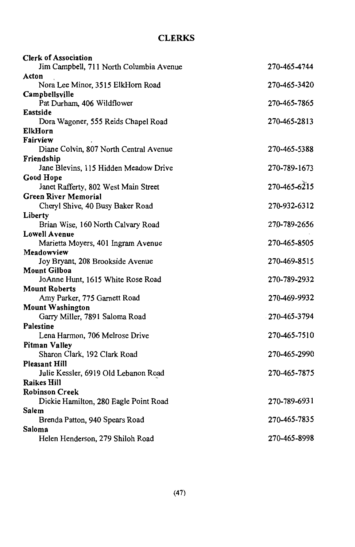## **CLERKS**

| <b>Clerk of Association</b>             |              |
|-----------------------------------------|--------------|
| Jim Campbell, 711 North Columbia Avenue | 270-465-4744 |
| Acton                                   |              |
| Nora Lee Minor, 3515 ElkHorn Road       | 270-465-3420 |
| Campbellsville                          |              |
| Pat Durham, 406 Wildflower              | 270-465-7865 |
| Eastside                                |              |
| Dora Wagoner, 555 Reids Chapel Road     | 270-465-2813 |
| <b>ElkHorn</b>                          |              |
| Fairview                                |              |
| Diane Colvin, 807 North Central Avenue  | 270-465-5388 |
| Friendship                              |              |
| Jane Blevins, 115 Hidden Meadow Drive   | 270-789-1673 |
| Good Hope                               |              |
| Janet Rafferty, 802 West Main Street    | 270-465-6215 |
| <b>Green River Memorial</b>             |              |
| Cheryl Shive, 40 Busy Baker Road        | 270-932-6312 |
| Liberty                                 |              |
| Brian Wise, 160 North Calvary Road      | 270-789-2656 |
| <b>Lowell Avenue</b>                    |              |
| Marietta Moyers, 401 Ingram Avenue      | 270-465-8505 |
| Meadowview                              |              |
| Joy Bryant, 208 Brookside Avenue        | 270-469-8515 |
| <b>Mount Gilboa</b>                     |              |
| JoAnne Hunt, 1615 White Rose Road       | 270-789-2932 |
| <b>Mount Roberts</b>                    |              |
| Amy Parker, 775 Garnett Road            | 270-469-9932 |
| <b>Mount Washington</b>                 |              |
| Garry Miller, 7891 Saloma Road          | 270-465-3794 |
| Palestine                               |              |
| Lena Harmon, 706 Melrose Drive          | 270-465-7510 |
| <b>Pitman Valley</b>                    |              |
| Sharon Clark, 192 Clark Road            | 270-465-2990 |
| <b>Pleasant Hill</b>                    |              |
| Julie Kessler, 6919 Old Lebanon Road    | 270-465-7875 |
| Raikes Hill                             |              |
| <b>Robinson Creek</b>                   |              |
| Dickie Hamilton, 280 Eagle Point Road   | 270-789-6931 |
| Salem                                   |              |
| Brenda Patton, 940 Spears Road          | 270-465-7835 |
| Saloma                                  |              |
| Helen Henderson, 279 Shiloh Road        | 270-465-8998 |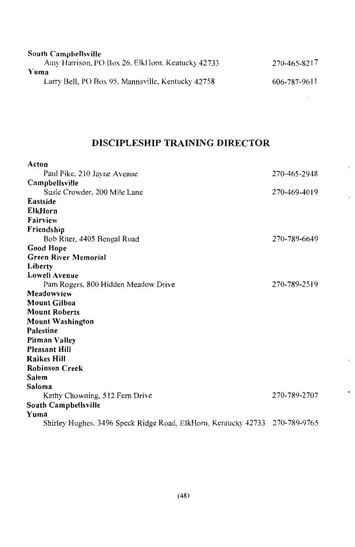| <b>South Campbellsville</b>                       |              |
|---------------------------------------------------|--------------|
| Amy Harrison, PO Box 26, ElkHorn, Kentucky 42733  | 270-465-8217 |
| Yuma                                              |              |
| Larry Bell, PO Box 95, Mannsville, Kentucky 42758 | 606-787-9611 |
|                                                   |              |

## DISCIPLESHIP TRAINING DIRECTOR

| Acton                                                                       |              |
|-----------------------------------------------------------------------------|--------------|
| Paul Pike, 210 Jayne Avenue                                                 | 270-465-2948 |
| Campbellsville                                                              |              |
| Susie Crowder, 200 Mile Lane                                                | 270-469-4019 |
| Eastside                                                                    |              |
| <b>ElkHorn</b>                                                              |              |
| Fairview                                                                    |              |
| Friendship                                                                  |              |
| Bob Riter, 4405 Bengal Road                                                 | 270-789-6649 |
| Good Hope                                                                   |              |
| <b>Green River Memorial</b>                                                 |              |
| Liberty                                                                     |              |
| Lowell Avenue                                                               |              |
| Pam Rogers, 800 Hidden Meadow Drive                                         | 270-789-2519 |
| Meadowview                                                                  |              |
| <b>Mount Gilboa</b>                                                         |              |
| <b>Mount Roberts</b>                                                        |              |
| <b>Mount Washington</b>                                                     |              |
| Palestine                                                                   |              |
| Pitman Valley                                                               |              |
| <b>Pleasant Hill</b>                                                        |              |
| <b>Raikes Hill</b>                                                          |              |
| <b>Robinson Creek</b>                                                       |              |
| Salem                                                                       |              |
| Saloma                                                                      |              |
| Kathy Chowning, 512 Fern Drive                                              | 270-789-2707 |
| South Campbellsville                                                        |              |
| Yuma                                                                        |              |
| Shirley Hughes, 3496 Speck Ridge Road, ElkHorn, Kentucky 42733 270-789-9765 |              |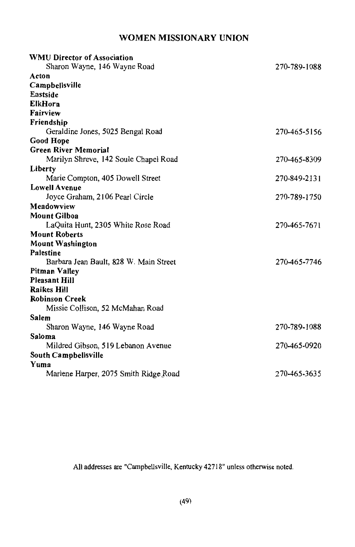## WOMEN MISSIONARY UNION

| <b>WMU Director of Association</b>     |              |
|----------------------------------------|--------------|
| Sharon Wayne, 146 Wayne Road           | 270-789-1088 |
| Acton                                  |              |
| Campbellsville                         |              |
| Eastside                               |              |
| <b>ElkHorn</b>                         |              |
| Fairview                               |              |
| Friendship                             |              |
| Geraldine Jones, 5025 Bengal Road      | 270-465-5156 |
| <b>Good Hope</b>                       |              |
| <b>Green River Memorial</b>            |              |
| Marilyn Shreve, 142 Soule Chapel Road  | 270-465-8309 |
| Liberty                                |              |
| Marie Compton, 405 Dowell Street       | 270-849-2131 |
| <b>Lowell Avenue</b>                   |              |
| Joyce Graham, 2106 Pearl Circle        | 270-789-1750 |
| Meadowview                             |              |
| <b>Mount Gilboa</b>                    |              |
| LaQuita Hunt, 2305 White Rose Road     | 270-465-7671 |
| <b>Mount Roberts</b>                   |              |
| <b>Mount Washington</b>                |              |
| Palestine                              |              |
| Barbara Jean Bault, 828 W. Main Street | 270-465-7746 |
| Pitman Valley                          |              |
| <b>Pleasant Hill</b>                   |              |
| <b>Raikes Hill</b>                     |              |
| <b>Robinson Creek</b>                  |              |
| Missie Collison, 52 McMahan Road       |              |
| Salem                                  |              |
| Sharon Wayne, 146 Wayne Road           | 270-789-1088 |
| Saloma                                 |              |
| Mildred Gibson, 519 Lebanon Avenue     | 270-465-0920 |
| South Campbellsville                   |              |
| Yuma                                   |              |
| Marlene Harper, 2075 Smith Ridge Road  | 270-465-3635 |
|                                        |              |

All addresses are "Campbellsville, Kentucky 42718" unless otherwise noted.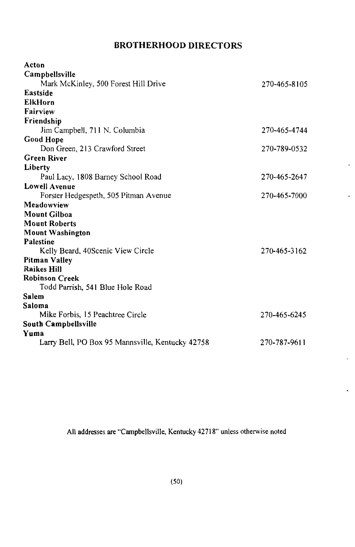### **BROTHERHOOD DIRECTORS**

| Acton                                            |              |
|--------------------------------------------------|--------------|
| Campbellsville                                   |              |
| Mark McKinley, 500 Forest Hill Drive             | 270-465-8105 |
| Eastside                                         |              |
| ElkHorn                                          |              |
| Fairview                                         |              |
| Friendship                                       |              |
| Jim Campbell, 711 N. Columbia                    | 270-465-4744 |
| <b>Good Hope</b>                                 |              |
| Don Green, 213 Crawford Street                   | 270-789-0532 |
| <b>Green River</b>                               |              |
| Liberty                                          |              |
| Paul Lacy, 1808 Barney School Road               | 270-465-2647 |
| <b>Lowell Avenue</b>                             |              |
| Forster Hedgespeth, 505 Pitman Avenue            | 270-465-7000 |
| Meadowview                                       |              |
| <b>Mount Gilboa</b>                              |              |
| <b>Mount Roberts</b>                             |              |
| Mount Washington                                 |              |
| <b>Palestine</b>                                 |              |
| Kelly Beard, 40 Scenic View Circle               | 270-465-3162 |
| Pitman Valley                                    |              |
| <b>Raikes Hill</b>                               |              |
| <b>Robinson Creek</b>                            |              |
| Todd Parrish, 541 Blue Hole Road                 |              |
| Salem                                            |              |
| Saloma                                           |              |
| Mike Forbis, 15 Peachtree Circle                 | 270-465-6245 |
| South Campbellsville                             |              |
| Yuma                                             |              |
| Larry Bell, PO Box 95 Mannsville, Kentucky 42758 | 270-787-9611 |

,

٠,

All addresses are "Campbellsville, Kentucky 42718" unless otherwise noted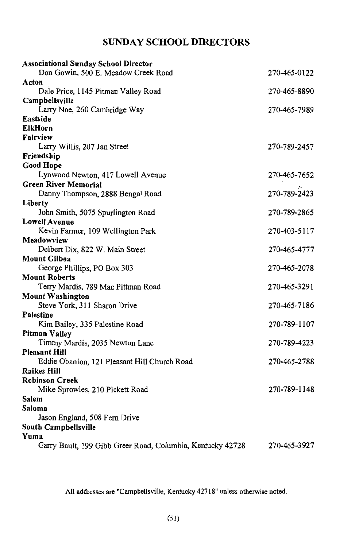## **SUNDAY SCHOOL DIRECTORS**

| <b>Associational Sunday School Director</b>                |              |
|------------------------------------------------------------|--------------|
| Don Gowin, 500 E. Meadow Creek Road                        | 270-465-0122 |
| Acton                                                      |              |
| Dale Price, 1145 Pitman Valley Road                        | 270-465-8890 |
| Campbellsville                                             |              |
| Larry Noe, 260 Cambridge Way                               | 270-465-7989 |
| Eastside                                                   |              |
| <b>ElkHorn</b>                                             |              |
| Fairview                                                   |              |
| Larry Willis, 207 Jan Street                               | 270-789-2457 |
| Friendship                                                 |              |
| <b>Good Hope</b>                                           |              |
| Lynwood Newton, 417 Lowell Avenue                          | 270-465-7652 |
| <b>Green River Memorial</b>                                |              |
| Danny Thompson, 2888 Bengal Road                           | 270-789-2423 |
| Liberty                                                    |              |
| John Smith, 5075 Spurlington Road                          | 270-789-2865 |
| <b>Lowell Avenue</b>                                       |              |
| Kevin Farmer, 109 Wellington Park                          | 270-403-5117 |
| Meadowview                                                 |              |
| Delbert Dix, 822 W. Main Street                            | 270-465-4777 |
| <b>Mount Gilboa</b>                                        |              |
| George Phillips, PO Box 303                                | 270-465-2078 |
| <b>Mount Roberts</b>                                       |              |
| Terry Mardis, 789 Mac Pittman Road                         | 270-465-3291 |
| <b>Mount Washington</b>                                    |              |
| Steve York, 311 Sharon Drive                               | 270-465-7186 |
| Palestine                                                  |              |
| Kim Bailey, 335 Palestine Road                             | 270-789-1107 |
| <b>Pitman Valley</b>                                       |              |
| Timmy Mardis, 2035 Newton Lane                             | 270-789-4223 |
| Pleasant Hill                                              |              |
| Eddie Obanion, 121 Pleasant Hill Church Road               | 270-465-2788 |
| Raikes Hill                                                |              |
| Robinson Creek                                             |              |
| Mike Sprowles, 210 Pickett Road                            | 270-789-1148 |
| Salem                                                      |              |
| Saloma                                                     |              |
| Jason England, 508 Fern Drive                              |              |
| South Campbellsville                                       |              |
| Yuma                                                       |              |
| Garry Bault, 199 Gibb Greer Road, Columbia, Kentucky 42728 | 270-465-3927 |

All addresses are "Campbellsville, Kentucky 42718" unless otherwise noted.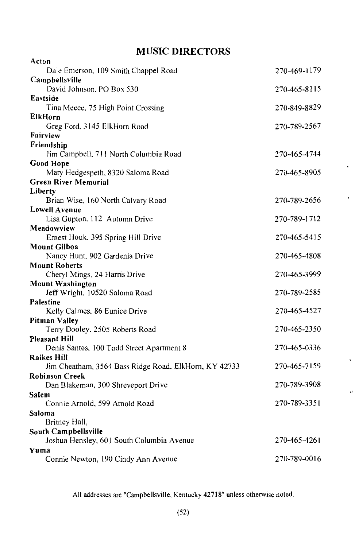## **MUSIC DIRECTORS**

| Acton                                                            |              |
|------------------------------------------------------------------|--------------|
| Dale Emerson, 109 Smith Chappel Road                             | 270-469-1179 |
| Campbellsville                                                   |              |
| David Johnson, PO Box 530                                        | 270-465-8115 |
| Eastside                                                         |              |
| Tina Meece, 75 High Point Crossing                               | 270-849-8829 |
| ElkHorn                                                          |              |
| Greg Ford, 3145 ElkHorn Road                                     | 270-789-2567 |
| Fairview                                                         |              |
| Friendship                                                       |              |
| Jim Campbell, 711 North Columbia Road                            | 270-465-4744 |
| <b>Good Hope</b>                                                 |              |
| Mary Hedgespeth, 8320 Saloma Road<br><b>Green River Memorial</b> | 270-465-8905 |
| Liberty                                                          |              |
| Brian Wise, 160 North Calvary Road                               | 270-789-2656 |
| <b>Lowell Avenue</b>                                             |              |
| Lisa Gupton, 112 Autumn Drive                                    | 270-789-1712 |
| Meadowview                                                       |              |
| Ernest Houk, 395 Spring Hill Drive                               | 270-465-5415 |
| <b>Mount Gilboa</b>                                              |              |
| Nancy Hunt, 902 Gardenia Drive                                   | 270-465-4808 |
| <b>Mount Roberts</b>                                             |              |
| Cheryl Mings, 24 Harris Drive                                    | 270-465-3999 |
| <b>Mount Washington</b>                                          |              |
| Jeff Wright, 10520 Saloma Road                                   | 270-789-2585 |
| Palestine                                                        |              |
| Kelly Calmes, 86 Eunice Drive                                    | 270-465-4527 |
| <b>Pitman Valley</b>                                             |              |
| Terry Dooley. 2505 Roberts Road<br><b>Pleasant Hill</b>          | 270-465-2350 |
| Denis Santos, 100 Todd Street Apartment 8                        | 270-465-0336 |
| Raikes Hill                                                      |              |
| Jim Cheatham, 3564 Bass Ridge Road, ElkHorn, KY 42733            | 270-465-7159 |
| <b>Robinson Creek</b>                                            |              |
| Dan Blakeman, 300 Shreveport Drive                               | 270-789-3908 |
| Salem                                                            |              |
| Connie Arnold, 599 Arnold Road                                   | 270-789-3351 |
| Saloma                                                           |              |
| Britney Hall,                                                    |              |
| South Campbellsville                                             |              |
| Joshua Hensley, 601 South Columbia Avenue                        | 270-465-4261 |
| Yuma                                                             |              |
| Connie Newton, 190 Cindy Ann Avenue                              | 270-789-0016 |

All addresses are "Campbellsville, Kentucky 42718" unless otherwise noted.

 $\rightarrow$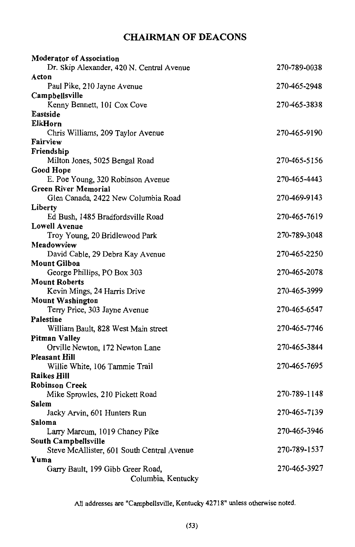## **CHAIRMAN OF DEACONS**

| <b>Moderator of Association</b>            |              |
|--------------------------------------------|--------------|
| Dr. Skip Alexander, 420 N. Central Avenue  | 270-789-0038 |
| Acton                                      |              |
| Paul Pike, 210 Jayne Avenue                | 270-465-2948 |
| Campbellsville                             |              |
| Kenny Bennett, 101 Cox Cove                | 270-465-3838 |
| Eastside                                   |              |
| ElkHorn                                    |              |
| Chris Williams, 209 Taylor Avenue          | 270-465-9190 |
| Fairview                                   |              |
| Friendship                                 |              |
| Milton Jones, 5025 Bengal Road             | 270-465-5156 |
| Good Hope                                  |              |
| E. Poe Young, 320 Robinson Avenue          | 270-465-4443 |
| <b>Green River Memorial</b>                |              |
| Glen Canada, 2422 New Columbia Road        | 270-469-9143 |
| Liberty                                    |              |
| Ed Bush, 1485 Bradfordsville Road          | 270-465-7619 |
| Lowell Avenue                              |              |
| Troy Young, 20 Bridlewood Park             | 270-789-3048 |
| Meadowview                                 |              |
| David Cable, 29 Debra Kay Avenue           | 270-465-2250 |
| Mount Gilboa                               |              |
| George Phillips, PO Box 303                | 270-465-2078 |
| Mount Roberts                              |              |
| Kevin Mings, 24 Harris Drive               | 270-465-3999 |
| <b>Mount Washington</b>                    |              |
| Terry Price, 303 Jayne Avenue              | 270-465-6547 |
| Palestine                                  |              |
| William Bault, 828 West Main street        | 270-465-7746 |
| Pitman Valley                              |              |
| Orville Newton, 172 Newton Lane            | 270-465-3844 |
| Pleasant Hill                              |              |
| Willie White, 106 Tammie Trail             | 270-465-7695 |
| Raikes Hill                                |              |
| Robinson Creek                             |              |
| Mike Sprowles, 210 Pickett Road            | 270-789-1148 |
| Salem                                      |              |
| Jacky Arvin, 601 Hunters Run               | 270-465-7139 |
| Saloma                                     |              |
| Larry Marcum, 1019 Chaney Pike             | 270-465-3946 |
| South Campbellsville                       |              |
| Steve McAllister, 601 South Central Avenue | 270-789-1537 |
| Yuma                                       |              |
| Garry Bault, 199 Gibb Greer Road,          | 270-465-3927 |
| Columbia, Kentucky                         |              |
|                                            |              |

All addresses are "Campbellsville, Kentucky 42718" unless otherwise noted.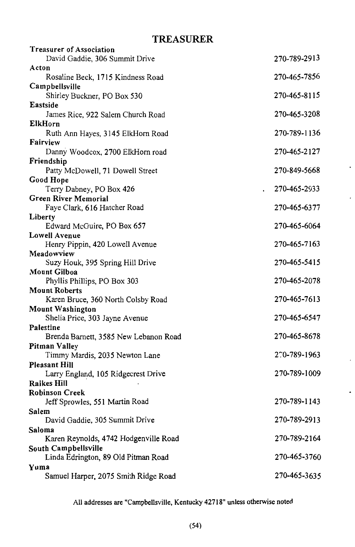## **TREASURER**

| <b>Treasurer of Association</b>                      |              |
|------------------------------------------------------|--------------|
| David Gaddie, 306 Summit Drive                       | 270-789-2913 |
| Acton                                                |              |
| Rosaline Beck, 1715 Kindness Road                    | 270-465-7856 |
| Campbellsville                                       |              |
| Shirley Buckner, PO Box 530                          | 270-465-8115 |
| Eastside                                             |              |
| James Rice, 922 Salem Church Road                    | 270-465-3208 |
| ElkHorn                                              |              |
| Ruth Ann Hayes, 3145 ElkHorn Road<br>Fairview        | 270-789-1136 |
| Danny Woodcox, 2700 ElkHorn road                     | 270-465-2127 |
| Friendship                                           |              |
| Patty McDowell, 71 Dowell Street                     | 270-849-5668 |
| Good Hope                                            |              |
| Terry Dabney, PO Box 426                             | 270-465-2933 |
| <b>Green River Memorial</b>                          |              |
| Faye Clark, 616 Hatcher Road                         | 270-465-6377 |
| Liberty                                              |              |
| Edward McGuire, PO Box 657                           | 270-465-6064 |
| <b>Lowell Avenue</b>                                 |              |
| Henry Pippin, 420 Lowell Avenue                      | 270-465-7163 |
| Meadowview                                           |              |
| Suzy Houk, 395 Spring Hill Drive                     | 270-465-5415 |
| <b>Mount Gilboa</b>                                  |              |
| Phyllis Phillips, PO Box 303<br><b>Mount Roberts</b> | 270-465-2078 |
| Karen Bruce, 360 North Colsby Road                   | 270-465-7613 |
| <b>Mount Washington</b>                              |              |
| Shelia Price, 303 Jayne Avenue                       | 270-465-6547 |
| Palestine                                            |              |
| Brenda Barnett, 3585 New Lebanon Road                | 270-465-8678 |
| <b>Pitman Valley</b>                                 |              |
| Timmy Mardis, 2035 Newton Lane                       | 270-789-1963 |
| <b>Pleasant Hill</b>                                 |              |
| Larry England, 105 Ridgecrest Drive                  | 270-789-1009 |
| <b>Raikes Hill</b>                                   |              |
| <b>Robinson Creek</b>                                |              |
| Jeff Sprowles, 551 Martin Road                       | 270-789-1143 |
| Salem                                                |              |
| David Gaddie, 305 Summit Drive                       | 270-789-2913 |
| Saloma                                               |              |
| Karen Reynolds, 4742 Hodgenville Road                | 270-789-2164 |
| South Campbellsville                                 |              |
| Linda Edrington, 89 Old Pitman Road                  | 270-465-3760 |
| Yuma                                                 | 270-465-3635 |
| Samuel Harper, 2075 Smith Ridge Road                 |              |

All addresses are "Campbellsville, Kentucky 42718" unless otherwise noted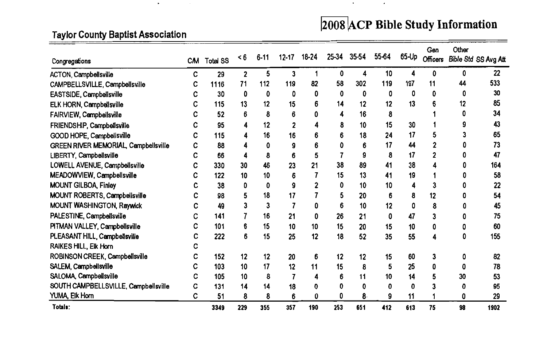# 2008 ACP Bible Study Information

**All Contracts** 

 $\overline{\phantom{a}}$ 

## **Taylor County Baptist Association**

 $\bullet$ 

| Congregations                        |   | CM Total SS | $\leq 6$ | $6 - 11$ | 12-17 | 18-24 | 25-34 | 35-54 | 55-64 | 65-Up | Gen<br><b>Officers</b> | Other | Bible Std SS Avg Att |
|--------------------------------------|---|-------------|----------|----------|-------|-------|-------|-------|-------|-------|------------------------|-------|----------------------|
| <b>ACTON, Campbellsville</b>         | с | 29          | 2        | 5        | 3     |       | 0     | 4     | 10    | Δ     | 0                      | 0     | 22                   |
| CAMPBELLSVILLE, Campbellsville       | c | 1116        | 71       | 112      | 119   | 82    | 58    | 302   | 119   | 197   | 11                     | 44    | 533                  |
| EASTSIDE, Campbellsville             | c | 30          | 0        | 0        | 0     | 0     | 0     | 0     | 0     | 0     | 0                      | 0     | 30                   |
| ELK HORN, Campbellsville             |   | 115         | 13       | 12       | 15    | 6     | 14    | 12    | 12    | 13    |                        | 12    | 85                   |
| FAIRVIEW, Campbellsville             |   | 52          | 6        | 8        | 6     |       |       | 16    | 8     |       |                        |       | 34                   |
| FRIENDSHIP, Campbellsville           | с | 95          | 4        | 12       | 2     |       | 8     | 10    | 15    | 30    |                        |       | 43                   |
| GOOD HOPE, Campbellsville            | c | 115         | 4        | 16       | 16    | 6     | 6     | 18    | 24    | 17    | 5                      |       | 65                   |
| GREEN RIVER MEMORIAL, Campbellsville | c | 88          | 4        | 0        | 9     |       |       |       | 17    | 44    |                        |       | 73                   |
| LIBERTY, Campbellsville              | c | 66          | 4        | 8        | 6     | 5     |       | 9     | 8     | 17    | 2                      |       | 47                   |
| LOWELL AVENUE, Campbellsville        | с | 330         | 30       | 46       | 23    | 21    | 38    | 89    | 41    | 38    |                        |       | 164                  |
| MEADOWVIEW, Campbellsville           |   | 122         | 10       | 10       | 6     |       | 15    | 13    | 41    | 19    |                        |       | 58                   |
| MOUNT GILBOA, Finley                 |   | 38          | 0        | 0        | 9     |       | 0     | 10    | 10    | 4     | 3                      |       | 22                   |
| MOUNT ROBERTS, Campbellsville        | с | 98          | 5        | 18       | 17    |       |       | 20    | 6     | 8     | 12                     |       | 54                   |
| MOUNT WASHINGTON, Raywick            | c | 49          | 3        | 3        |       | 0     | 6     | 10    | 12    | 0     | 8                      |       | 45                   |
| PALESTINE, Campbellsville            | c | 141         |          | 16       | 21    | 0     | 26    | 21    | 0     | 47    | 3                      |       | 75                   |
| PITMAN VALLEY, Campbellsville        |   | 101         | 6        | 15       | 10    | 10    | 15    | 20    | 15    | 10    | 0                      |       | 60                   |
| PLEASANT HILL, Campbellsville        | c | 222         | 6        | 15       | 25    | 12    | 18    | 52    | 35    | 55    | 4                      |       | 155                  |
| RAIKES HILL, Elk Horn                |   |             |          |          |       |       |       |       |       |       |                        |       |                      |
| ROBINSON CREEK, Campbellsville       | c | 152         | 12       | 12       | 20    | 6     | 12    | 12    | 15    | 60    | 3                      | 0     | 82                   |
| SALEM, Campbellsville                |   | 103         | 10       | 17       | 12    | 11    | 15    | 8     | 5     | 25    | 0                      |       | 78                   |
| SALOMA, Campbellsville               | с | 105         | 10       | 8        |       | 4     |       | 11    | 10    | 14    |                        | 30    | 53                   |
| SOUTH CAMPBELLSVILLE, Campbellsville | c | 131         | 14       | 14       | 18    | n     |       | n     | ŋ     | O     |                        |       | 95                   |
| YUMA, Elk Horn                       | c | 51          | 8        | 8        | 6     | 0     | 0     | 8     | 9     | 11    |                        | 0     | 29                   |
| Totals:                              |   | 3349        | 229      | 355      | 357   | 190   | 253   | 651   | 412   | 613   | 75                     | 98    | 1902                 |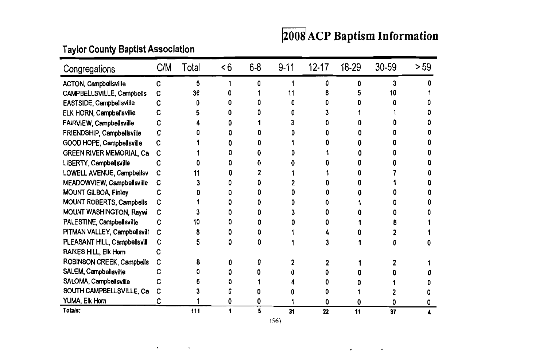# 2008 ACP Baptism Information

 $\bullet$ 

 $\bullet$ 

## **Taylor County Baptist Association**

 $\bullet$ 

 $\tilde{\phantom{a}}$ 

| Congregations                   | C/M | Total | < 6 | $6-8$ | $9-11$ | $12 - 17$ | 18-29 | 30-59 | >59 |
|---------------------------------|-----|-------|-----|-------|--------|-----------|-------|-------|-----|
| <b>ACTON, Campbellsville</b>    | С   | 5     |     | O     |        |           | n     | 3     |     |
| CAMPBELLSVILLE, Campbells       | С   | 36    |     |       |        |           |       |       |     |
| EASTSIDE, Campbellsville        | с   |       |     |       |        |           |       |       |     |
| ELK HORN, Campbellsville        | с   |       |     |       |        |           |       |       |     |
| FAIRVIEW, Campbellsville        | с   |       |     |       |        |           |       |       |     |
| FRIENDSHIP, Campbellsville      | C   |       |     |       |        |           |       |       |     |
| GOOD HOPE, Campbellsville       | C   |       |     |       |        |           |       |       |     |
| <b>GREEN RIVER MEMORIAL, Ca</b> | C   |       |     |       |        |           |       |       |     |
| LIBERTY, Campbellsville         | С   |       |     |       |        |           |       |       |     |
| LOWELL AVENUE, Campbellsv       | C   |       |     |       |        |           |       |       |     |
| MEADOWVIEW, Campbellsville      | C   |       |     |       |        |           |       |       |     |
| MOUNT GILBOA, Finley            | С   |       |     |       |        |           |       |       |     |
| MOUNT ROBERTS, Campbells        | C   |       |     |       |        |           |       |       |     |
| MOUNT WASHINGTON, Raywi         | C   |       |     |       |        |           |       |       |     |
| PALESTINE, Campbellsville       | c   | 10    |     |       |        |           |       |       |     |
| PITMAN VALLEY, Campbellsvill    | C   |       |     |       |        |           |       |       |     |
| PLEASANT HILL, Campbellsvill    | C   |       |     |       |        |           |       |       |     |
| RAIKES HILL, Elk Horn           | c   |       |     |       |        |           |       |       |     |
| ROBINSON CREEK, Campbells       | C   |       |     |       |        |           |       |       |     |
| SALEM, Campbellsville           | c   |       |     |       |        |           |       |       |     |
| SALOMA, Campbellsville          |     |       |     |       |        |           |       |       |     |
| SOUTH CAMPBELLSVILLE, Ca        | С   |       |     |       |        |           |       |       |     |
| YUMA, Elk Horn                  | c   |       |     | O     |        | 0         | n     |       |     |
| Totals:                         |     | 111   |     | 5     | 31     | 22        | 11    | 37    |     |

 $(56)$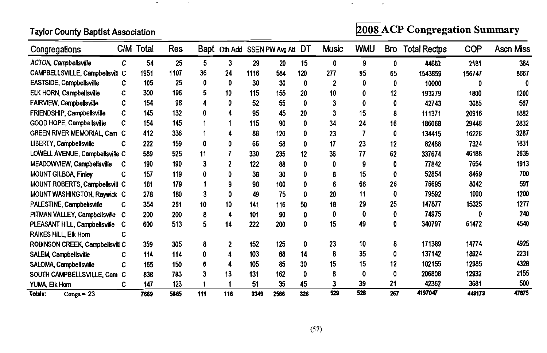**Taylor County Baptist Association** 

 $\bullet$ 

**Contract State** 

2008 ACP Congregation Summary

| Congregations                   |   | C/M Total | Res  |     | Bapt Oth Add SSEN PW Avg Att DT |      |      |     | <b>Music</b> | <b>WMU</b> | Bro | <b>Total Rectps</b> | COP    | <b>Ascn Miss</b> |
|---------------------------------|---|-----------|------|-----|---------------------------------|------|------|-----|--------------|------------|-----|---------------------|--------|------------------|
| <b>ACTON, Campbellsville</b>    | C | 54        | 25   | 5   | 3                               | 29   | 20   | 15  | 0            | 9          | 0   | 44662               | 2181   | 364              |
| CAMPBELLSVILLE, Campbellsvill C |   | 1951      | 1107 | 36  | 24                              | 1116 | 584  | 120 | 277          | 95         | 65  | 1543859             | 156747 | 8667             |
| EASTSIDE, Campbellsville        | C | 105       | 25   | 0   | 0                               | 30   | 30   | 0   | 2            |            | 0   | 10000               | 0      | 0                |
| ELK HORN, Campbellsville        | C | 300       | 196  | 5   | 10                              | 115  | 155  | 20  | 10           |            | 12  | 193279              | 1800   | 1200             |
| FAIRVIEW, Campbellsville        | C | 154       | 98   |     | 0                               | 52   | 55   | 0   |              |            | 0   | 42743               | 3085   | 567              |
| FRIENDSHIP, Campbellsville      | C | 145       | 132  | 0   |                                 | 95   | 45   | 20  |              | 15         | 8   | 111371              | 20916  | 1882             |
| GOOD HOPE, Campbellsville       | C | 154       | 145  |     |                                 | 115  | 90   | 0   | 34           | 24         | 16  | 186068              | 29448  | 2832             |
| GREEN RIVER MEMORIAL, Cam C     |   | 412       | 336  |     |                                 | 88   | 120  | 0   | 23           |            | 0   | 134415              | 16226  | 3287             |
| LIBERTY, Campbellsville         | c | 222       | 159  | 0   |                                 | 66   | 58   | 0   | 17           | 23         | 12  | 82488               | 7324   | 1831             |
| LOWELL AVENUE, Campbellsville C |   | 589       | 525  | 11  |                                 | 330  | 235  | 12  | 36           | 77         | 62  | 337674              | 46188  | 2639             |
| MEADOWVIEW, Campbellsville      | C | 190       | 190  | 3   |                                 | 122  | 88   | 0   |              | 9          | 0   | 77842               | 7654   | 1913             |
| <b>MOUNT GILBOA, Finley</b>     | С | 157       | 119  | 0   | 0                               | 38   | 30   | 0   |              | 15         | 0   | 52854               | 8469   | 700              |
| MOUNT ROBERTS, Campbellsvill C  |   | 181       | 179  |     |                                 | 98   | 100  | O   |              | 66         | 26  | 76695               | 8042   | 597              |
| MOUNT WASHINGTON, Raywick C     |   | 278       | 180  | 3   | 0                               | 49   | 75   | O   | 20           | 11         | 0   | 79592               | 1000   | 1200             |
| PALESTINE, Campbellsville       | C | 354       | 261  | 10  | 10                              | 141  | 116  | 50  | 18           | 29         | 25  | 147877              | 15325  | 1277             |
| PITMAN VALLEY, Campbellsville C |   | 200       | 200  | 8   | 4                               | 101  | 90   | 0   | 0            | 0          | 0   | 74975               | 0      | 240              |
| PLEASANT HILL, Campbellsville   | C | 600       | 513  | 5   | 14                              | 222  | 200  | 0   | 15           | 49         | 0   | 340797              | 61472  | 4540             |
| RAIKES HILL, Elk Horn           |   |           |      |     |                                 |      |      |     |              |            |     |                     |        |                  |
| ROBINSON CREEK, Campbellsvill C |   | 359       | 305  | 8   | 2                               | 152  | 125  | 0   | 23           | 10         | 8   | 171389              | 14774  | 4925             |
| SALEM, Campbellsville           |   | 114       | 114  | 0   |                                 | 103  | 88   | 14  | 8            | 35         | 0   | 137142              | 18924  | 2231             |
| SALOMA, Campbellsville          | c | 165       | 150  | 6   |                                 | 105  | 85   | 30  | 15           | 15         | 12  | 102155              | 12985  | 4328             |
| SOUTH CAMPBELLSVILLE, Cam C     |   | 838       | 783  |     | 13                              | 131  | 162  | 0   |              | 0          | 0   | 206808              | 12932  | 2155             |
| YUMA, Elk Horn                  | C | 147       | 123  |     |                                 | 51   | 35   | 45  |              | 39         | 21  | 42362               | 3681   | 500              |
| $Conose = 23$<br>Totals:        |   | 7669      | 5865 | 111 | 116                             | 3349 | 2586 | 326 | 529          | 528        | 267 | 4197047             | 449173 | 47875            |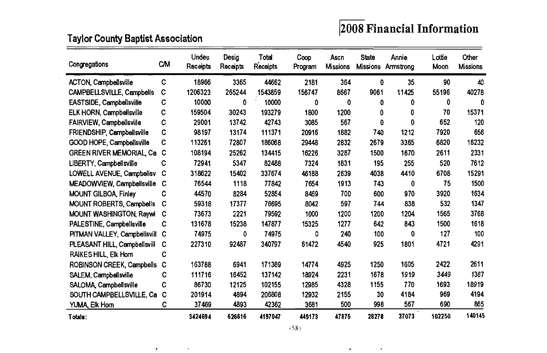## $2008$  Financial Information

## **Taylor County Baptist Association**

 $\sim 10^{11}$  eV

 $\sigma$  .

 $\ddot{\phantom{a}}$ 

| Congregations                     | <b>CM</b> | <b>Undes</b><br>Receipts | Desig<br>Receipts | Total<br>Receipts | Coop<br>Program | Asch<br><b>Missions</b> | <b>State</b><br><b>Missions</b> | Annie<br>Armstrong | Lottie<br>Moon | Other<br><b>Missions</b> |
|-----------------------------------|-----------|--------------------------|-------------------|-------------------|-----------------|-------------------------|---------------------------------|--------------------|----------------|--------------------------|
| <b>ACTON, Campbellsville</b>      | C         | 18966                    | 3365              | 44662             | 2181            | 364                     | 0                               | 35                 | 90             | 40                       |
| CAMPBELLSVILLE, Campbells         | C         | 1206323                  | 265244            | 1543859           | 156747          | 8667                    | 9061                            | 11425              | 55196          | 40278                    |
| <b>EASTSIDE, Campbellsville</b>   | C         | 10000                    | 0                 | 10000             | 0               | 0                       | 0                               | 0                  | 0              | 0                        |
| <b>ELK HORN, Campbellsville</b>   | с         | 159504                   | 30243             | 193279            | 1800            | 1200                    | 0                               | 0                  | 70             | 15371                    |
| FAIRVIEW, Campbellsville          | C         | 29001                    | 13742             | 42743             | 3085            | 567                     | 0                               | 0                  | 652            | 120                      |
| <b>FRIENDSHIP, Campbellsville</b> | C         | 98197                    | 13174             | 111371            | 20916           | 1882                    | 740                             | 1212               | 7920           | 656                      |
| GOOD HOPE, Campbellsville         | C         | 113261                   | 72807             | 186068            | 29448           | 2832                    | 2679                            | 3365               | 6820           | 16232                    |
| <b>GREEN RIVER MEMORIAL Ca</b>    | C         | 108194                   | 25262             | 134415            | 16226           | 3287                    | 1500                            | 1670               | 2611           | 2331                     |
| LIBERTY, Campbellsville           | c         | 72941                    | 5347              | 82488             | 7324            | 1831                    | 195                             | 255                | 520            | 7612                     |
| LOWELL AVENUE, Campbellsv         | с         | 318622                   | 15402             | 337674            | 46188           | 2639                    | 4038                            | 4410               | 6708           | 15291                    |
| MEADOWVIEW, Campbellsville        | C         | 76544                    | 1118              | 77842             | 7654            | 1913                    | 743                             | 0                  | 75             | 1500                     |
| <b>MOUNT GILBOA, Finley</b>       | C         | 44570                    | 8284              | 52854             | 8469            | 700                     | 600                             | 970                | 3920           | 1634                     |
| <b>MOUNT ROBERTS, Campbells</b>   | с         | 59318                    | 17377             | 76695             | 8042            | 597                     | 744                             | 838                | 532            | 1347                     |
| <b>MOUNT WASHINGTON, Raywi</b>    | C         | 73673                    | 2221              | 79592             | 1000            | 1200                    | 1200                            | 1204               | 1565           | 3768                     |
| PALESTINE, Campbellsville         | с         | 131678                   | 15238             | 147877            | 15325           | 1277                    | 642                             | 843                | 1500           | 1618                     |
| PITMAN VALLEY, Campbellsvill      | С         | 74975                    | 0                 | 74975             | 0               | 240                     | 100                             | 0                  | 127            | 100                      |
| PLEASANT HILL, Campbellsvill      | с         | 227310                   | 92487             | 340797            | 61472           | 4540                    | 925                             | 1801               | 4721           | 4291                     |
| <b>RAIKES HILL, Elk Horn</b>      | с         |                          |                   |                   |                 |                         |                                 |                    |                |                          |
| ROBINSON CREEK, Campbells         | с         | 163788                   | 6941              | 171389            | 14774           | 4925                    | 1250                            | 1605               | 2422           | 2611                     |
| SALEM, Campbellsville             | C         | 111716                   | 16452             | 137142            | 18924           | 2231                    | 1678                            | 1919               | 3449           | 1367                     |
| SALOMA, Campbellsville            | C         | 86730                    | 12125             | 102155            | 12985           | 4328                    | 1155                            | 770                | 1693           | 18919                    |
| SOUTH CAMPBELLSVILLE, Ca          | C         | 201914                   | 4894              | 206808            | 12932           | 2155                    | 30                              | 4184               | 969            | 4194                     |
| YUMA, Elk Horn                    | C         | 37469                    | 4893              | 42362             | 3681            | 500                     | 998                             | 567                | 690            | 865                      |
| Totals:                           |           | 3424694                  | 626616            | 4197047           | 449173          | 47875                   | 28278                           | 37073              | 102250         | 140145                   |

 $\bullet$  , and  $\bullet$  , and  $\bullet$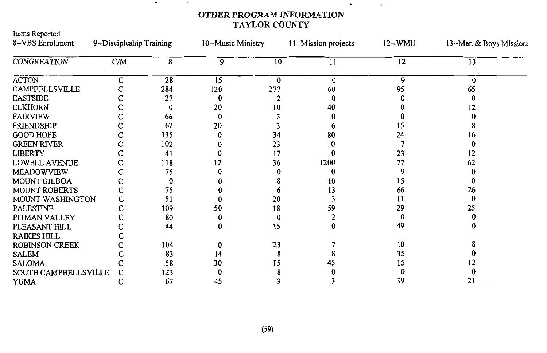#### OTHER PROGRAM INFORMATION TAYLOR COUNTY

 $\sim$ 

 $_{\star}$ 

 $\overline{\phantom{a}}$ 

 $\sim$ 

| Items Reported<br>8--VBS Enrollment | 9--Discipleship Training |     | 10--Music Ministry |          | 11--Mission projects | $12 - WMU$ | 13--Men & Boys Missions |  |
|-------------------------------------|--------------------------|-----|--------------------|----------|----------------------|------------|-------------------------|--|
|                                     |                          |     |                    |          |                      |            |                         |  |
| <b>CONGREATION</b>                  | CM                       | 8   | 9                  | 10       | 11                   | 12         | 13                      |  |
| <b>ACTON</b>                        | C                        | 28  | 15                 | $\bf{0}$ | $\bf{0}$             | 9          | 0                       |  |
| CAMPBELLSVILLE                      |                          | 284 | 120                | 277      | 60                   | 95         | 65                      |  |
| <b>EASTSIDE</b>                     |                          | 27  | 0                  |          | 0                    |            |                         |  |
| <b>ELKHORN</b>                      |                          | 0   | 20                 | 10       | 40                   |            | 12                      |  |
| <b>FAIRVIEW</b>                     | с                        | 66  | $\bf{0}$           |          |                      |            |                         |  |
| <b>FRIENDSHIP</b>                   |                          | 62  | 20                 |          |                      | 15         |                         |  |
| <b>GOOD HOPE</b>                    | C                        | 135 | 0                  | 34       | 80                   | 24         | 16                      |  |
| <b>GREEN RIVER</b>                  | C                        | 102 |                    | 23       |                      |            |                         |  |
| <b>LIBERTY</b>                      |                          | 41  |                    | 17       |                      | 23         | 12                      |  |
| LOWELL AVENUE                       | C                        | 118 | 12                 | 36       | 1200                 | 77         | 62                      |  |
| <b>MEADOWVIEW</b>                   | C                        | 75  |                    |          |                      | 9          |                         |  |
| MOUNT GILBOA                        | с                        | 0   |                    |          | 10                   | 15         |                         |  |
| <b>MOUNT ROBERTS</b>                | С                        | 75  |                    | h        | 13                   | 66         | 26                      |  |
| MOUNT WASHINGTON                    | C                        | 51  |                    | 20       |                      | 11         |                         |  |
| <b>PALESTINE</b>                    |                          | 109 | 50                 | 18       | 59                   | 29         | 25                      |  |
| PITMAN VALLEY                       | C                        | 80  | 0                  | 0        |                      |            |                         |  |
| PLEASANT HILL                       | C                        | 44  | 0                  | 15       | 0                    | 49         |                         |  |
| <b>RAIKES HILL</b>                  |                          |     |                    |          |                      |            |                         |  |
| <b>ROBINSON CREEK</b>               | C                        | 104 | 0                  | 23       |                      | 10         |                         |  |
| <b>SALEM</b>                        |                          | 83  | 14                 |          |                      | 35         |                         |  |
| <b>SALOMA</b>                       |                          | 58  | 30                 | I5       | 45                   | 15         |                         |  |
| SOUTH CAMPBELLSVILLE                | C                        | 123 |                    |          |                      |            |                         |  |
| <b>YUMA</b>                         | С                        | 67  | 45                 |          |                      | 39         | 21                      |  |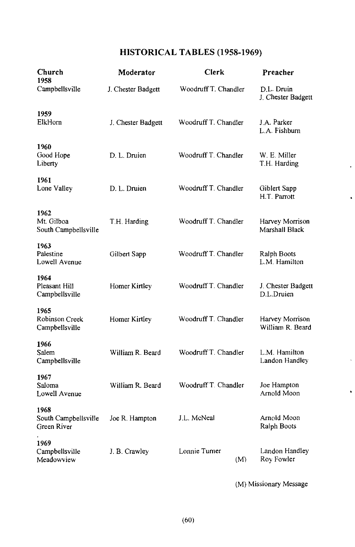### HISTORICAL TABLES (1958-1969)

| Church<br>1958                              | Moderator          | <b>Clerk</b>         | Preacher                            |  |  |
|---------------------------------------------|--------------------|----------------------|-------------------------------------|--|--|
| Campbellsville                              | J. Chester Badgett | Woodruff T. Chandler | D.L. Druin<br>J. Chester Badgett    |  |  |
| 1959<br>ElkHorn                             | J. Chester Badgett | Woodruff T. Chandler | J.A. Parker<br>L.A. Fishburn        |  |  |
| 1960<br>Good Hope<br>Liberty                | D. L. Druien       | Woodruff T. Chandler | W. E. Miller<br>T.H. Harding        |  |  |
| 1961<br>Lone Valley                         | D. L. Druien       | Woodruff T. Chandler | Giblert Sapp<br>H.T. Parrott        |  |  |
| 1962<br>Mt. Gilboa<br>South Campbellsville  | T.H. Harding       | Woodruff T. Chandler | Harvey Morrison<br>Marshall Black   |  |  |
| 1963<br>Palestine<br>Lowell Avenue          | Gilbert Sapp       | Woodruff T. Chandler | Ralph Boots<br>L.M. Hamilton        |  |  |
| 1964<br>Pleasant Hill<br>Campbellsville     | Homer Kirtley      | Woodruff T. Chandler | J. Chester Badgett<br>D.L.Druien    |  |  |
| 1965<br>Robinson Creek<br>Campbellsville    | Homer Kirtley      | Woodruff T. Chandler | Harvey Morrison<br>William R. Beard |  |  |
| 1966<br>Salem<br>Campbellsville             | William R. Beard   | Woodruff T. Chandler | L.M. Hamilton<br>Landon Handley     |  |  |
| 1967<br>Saloma<br>Lowell Avenue             | William R. Beard   | Woodruff T. Chandler | Joe Hampton<br>Arnold Moon          |  |  |
| 1968<br>South Campbellsville<br>Green River | Joe R. Hampton     | J.L. McNeal          | Arnold Moon<br>Ralph Boots          |  |  |
| 1969<br>Campbellsville<br>Meadowview        | J. B. Crawley      | Lonnie Turner<br>(M) | Landon Handley<br>Roy Fowler        |  |  |

(M) Missionary Message

 $\ddot{\phantom{0}}$ 

 $\ddot{\phantom{0}}$ 

l.

 $\bullet$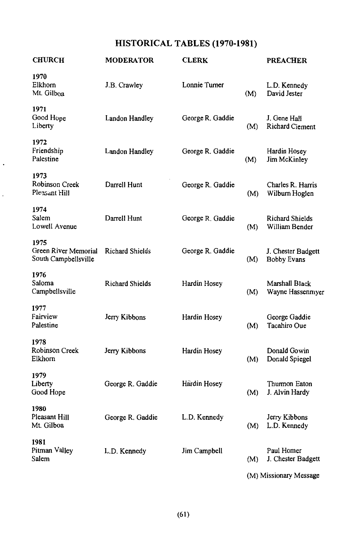## HISTORICAL TABLES (1970-1981)

| <b>CHURCH</b>                                        | <b>MODERATOR</b>       | <b>CLERK</b>     |     | <b>PREACHER</b>                          |
|------------------------------------------------------|------------------------|------------------|-----|------------------------------------------|
| 1970<br>Elkhorn<br>Mt. Gilboa                        | J.B. Crawley           | Lonnie Turner    | (M) | L.D. Kennedy<br>David Jester             |
| 1971<br>Good Hope<br>Liberty                         | Landon Handley         | George R. Gaddie | (M) | J. Gene Hall<br>Richard Clement          |
| 1972<br>Friendship<br>Palestine                      | Landon Handley         | George R. Gaddie | (M) | Hardin Hosey<br>Jim McKinley             |
| 1973<br>Robinson Creek<br>Pleasant Hill              | Darrell Hunt           | George R. Gaddie | (M) | Charles R. Harris<br>Wilburn Hoglen      |
| 1974<br>Salem<br>Lowell Avenue                       | Darrell Hunt           | George R. Gaddie | (M) | Richard Shields<br>William Bender        |
| 1975<br>Green River Memorial<br>South Campbellsville | Richard Shields        | George R. Gaddie | (M) | J. Chester Badgett<br><b>Bobby Evans</b> |
| 1976<br>Saloma<br>Campbellsville                     | <b>Richard Shields</b> | Hardin Hosey     | (M) | Marshall Black<br>Wayne Hassenmyer       |
| 1977<br>Fairview<br>Palestine                        | Jerry Kibbons          | Hardin Hosey     | (M) | George Gaddie<br>Tacahiro Oue            |
| 1978<br>Robinson Creek<br>Elkhorn                    | Jerry Kibbons          | Hardin Hosey     | (M) | Donald Gowin<br>Donald Spiegel           |
| 1979<br>Liberty<br>Good Hope                         | George R. Gaddie       | Hardin Hosey     | (M) | Thurmon Eaton<br>J. Alvin Hardy          |
| 1980<br>Pleasant Hill<br>Mt. Gilboa                  | George R. Gaddie       | L.D. Kennedy     | (M) | Jerry Kibbons<br>L.D. Kennedy            |
| 1981<br>Pitman Valley<br>Salem                       | L.D. Kennedy           | Jim Campbell     | (M) | Paul Homer<br>J. Chester Badgett         |
|                                                      |                        |                  |     | (M) Missionary Message                   |

 $(61)$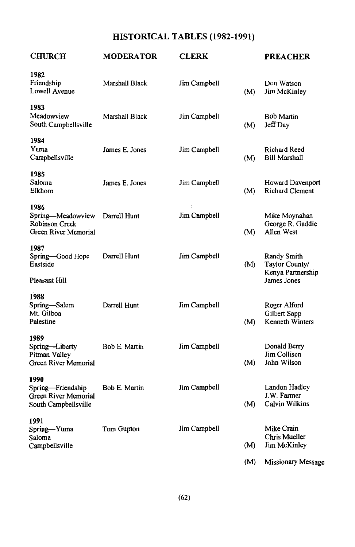## HISTORICAL TABLES (1982-1991)

| <b>CHURCH</b>                                                              | <b>MODERATOR</b>     | <b>CLERK</b> |     | <b>PREACHER</b>                                        |
|----------------------------------------------------------------------------|----------------------|--------------|-----|--------------------------------------------------------|
| 1982<br>Friendship<br>Lowell Avenue                                        | Marshall Black       | Jim Campbell | (M) | Don Watson<br>Jim McKinley                             |
| 1983<br>Meadowview<br>South Campbellsville                                 | Marshall Black       | Jim Campbell | (M) | Bob Martin<br>Jeff Day                                 |
| 1984<br>Yuma<br>Campbellsville                                             | James E. Jones       | Jim Campbell | (M) | Richard Reed<br><b>Bill Marshall</b>                   |
| 1985<br>Saloma<br>Elkhorn                                                  | James E. Jones       | Jim Campbell | (M) | Howard Davenport<br><b>Richard Clement</b>             |
| 1986<br>Spring-Meadowview<br><b>Robinson Creek</b><br>Green River Memorial | Darrell Hunt         | Jim Campbell | (M) | Mike Moynahan<br>George R. Gaddie<br>Allen West        |
| 1987<br>Spring-Good Hope<br>Eastside                                       | Darrell Hunt         | Jim Campbell | (M) | Randy Smith<br>Taylor County/<br>Kenya Partnership     |
| Pleasant Hill                                                              |                      |              |     | James Jones                                            |
| 1988<br>Spring-Salem<br>Mt. Gilboa<br>Palestine                            | Darrell Hunt         | Jim Campbell | (M) | Roger Alford<br>Gilbert Sapp<br><b>Kenneth Winters</b> |
| 1989<br>Spring-Liberty<br>Pitman Valley<br><b>Green River Memorial</b>     | <b>Bob E. Martin</b> | Jim Campbell | (M) | Donald Berry<br>Jim Collison<br>John Wilson            |
| 1990<br>Spring-Friendship<br>Green River Memorial<br>South Campbellsville  | Bob E. Martin        | Jim Campbell | (M) | Landon Hadley<br>J.W. Farmer<br>Calvin Wilkins         |
| 1991<br>Spring-Yuma<br>Saloma<br>Campbellsville                            | Tom Gupton           | Jim Campbell | (M) | Mike Crain<br>Chris Mueller<br>Jim McKinley            |
|                                                                            |                      |              | (M) | Missionary Message                                     |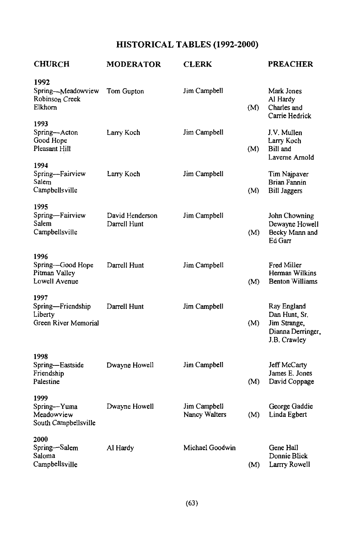## HISTORICAL TABLES (1992-2000)

| <b>CHURCH</b>                                                | <b>MODERATOR</b>                | <b>CLERK</b>                  |     | <b>PREACHER</b>                                                                   |
|--------------------------------------------------------------|---------------------------------|-------------------------------|-----|-----------------------------------------------------------------------------------|
| 1992<br>Spring-Meadowview<br>Robinson Creek<br>Elkhorn       | Tom Gupton                      | Jim Campbell                  | (M) | Mark Jones<br>Al Hardy<br>Charles and<br>Carrie Hedrick                           |
| 1993<br>Spring-Acton<br>Good Hope<br>Pleasant Hill           | Larry Koch                      | Jim Campbell                  | (M) | J.V. Mullen<br>Larry Koch<br>Bill and<br>Laverne Arnold                           |
| 1994<br>Spring-Fairview<br>Salem<br>Campbells ville          | Larry Koch                      | Jim Campbell                  | (M) | Tim Najpaver<br><b>Brian Fannin</b><br><b>Bill Jaggers</b>                        |
| 1995<br>Spring-Fairview<br>Salem<br>Campbellsville           | David Henderson<br>Darrell Hunt | Jim Campbell                  | (M) | John Chowning<br>Dewayne Howell<br>Becky Mann and<br>Ed Garr                      |
| 1996<br>Spring-Good Hope<br>Pitman Valley<br>Lowell Avenue   | Darrell Hunt                    | Jim Campbell                  | (M) | Fred Miller<br>Herman Wilkins<br><b>Benton Williams</b>                           |
| 1997<br>Spring-Friendship<br>Liberty<br>Green River Memorial | Darrell Hunt                    | Jim Campbell                  | (M) | Ray England<br>Dan Hunt, Sr.<br>Jim Strange,<br>Dianna Derringer,<br>J.B. Crawley |
| 1998<br>Spring-Eastside<br>Friendship<br>Palestine           | Dwayne Howell                   | Jim Campbell                  | (M) | Jeff McCarty<br>James E. Jones<br>David Coppage                                   |
| 1999<br>Spring-Yuma<br>Meadowview<br>South Campbellsville    | Dwayne Howell                   | Jim Campbell<br>Nancy Walters | (M) | George Gaddie<br>Linda Egbert                                                     |
| 2000<br>Spring-Salem<br>Saloma<br>Campbellsville             | Al Hardy                        | Michael Goodwin               | (M) | Gene Hall<br>Donnie Blick<br>Larrry Rowell                                        |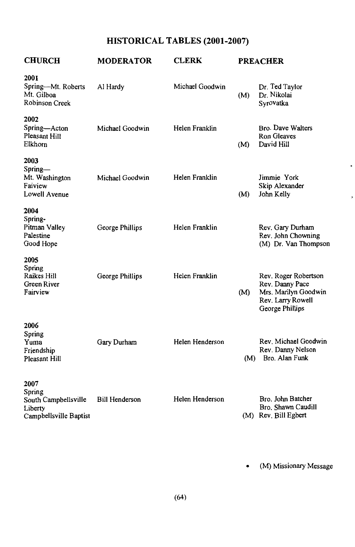## HISTORICAL TABLES (2001-2007)

| <b>CHURCH</b>                                                               | <b>MODERATOR</b>      | <b>CLERK</b>    |     | <b>PREACHER</b>                                                                                         |
|-----------------------------------------------------------------------------|-----------------------|-----------------|-----|---------------------------------------------------------------------------------------------------------|
| 2001<br>Spring-Mt. Roberts<br>Mt. Gilboa<br>Robinson Creek                  | Al Hardy              | Michael Goodwin | (M) | Dr. Ted Taylor<br>Dr. Nikolai<br>Syrovatka                                                              |
| 2002<br>Spring-Acton<br>Pleasant Hill<br>Elkhorn                            | Michael Goodwin       | Helen Franklin  | (M) | Bro. Dave Walters<br>Ron Gleaves<br>David Hill                                                          |
| 2003<br>Spring—<br>Mt. Washington<br>Faiview<br>Lowell Avenue               | Michael Goodwin       | Helen Franklin  | (M) | Jimmie York<br>Skip Alexander<br>John Kelly                                                             |
| 2004<br>Spring-<br>Pitman Valley<br>Palestine<br>Goo <b>d</b> Hope          | George Phillips       | Helen Franklin  |     | Rev. Gary Durham<br>Rev. John Chowning<br>(M) Dr. Van Thompson                                          |
| 2005<br>Spring<br>Raikes Hill<br>Green River<br>Fairview                    | George Phillips       | Helen Franklin  | (M) | Rev. Roger Robertson<br>Rev. Danny Pace<br>Mrs. Marilyn Goodwin<br>Rev. Larry Rowell<br>George Phillips |
| 2006<br>Spring<br>Yuma<br>Friendship<br>Pleasant Hill                       | Gary Durham           | Helen Henderson |     | Rev. Michael Goodwin<br>Rev. Danny Nelson<br>(M) Bro. Alan Funk                                         |
| 2007<br>Spring<br>South Campbellsville<br>Liberty<br>Campbellsville Baptist | <b>Bill Henderson</b> | Helen Henderson |     | Bro. John Batcher<br>Bro. Shawn Caudill<br>(M) Rev. Bill Egbert                                         |

• (M) Missionary Message

×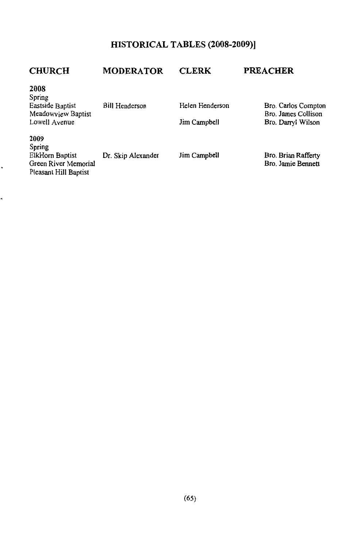## HISTORICAL TABLES (2008-2009)]

| <b>CHURCH</b>                                                                          | <b>MODERATOR</b>      | <b>CLERK</b>                    | <b>PREACHER</b>                                                  |
|----------------------------------------------------------------------------------------|-----------------------|---------------------------------|------------------------------------------------------------------|
| 2008<br>Spring<br>Eastside Baptist<br>Meadowy <sub>ie</sub> w Baptist<br>Lowell Ayenue | <b>Bill Henderson</b> | Helen Henderson<br>Jim Campbell | Bro. Carlos Compton<br>Bro. James Collison<br>Bro. Darryl Wilson |
| 2009<br>Spring<br>ElkHorn Baptist<br>Green River Memorial<br>Pleasant Hill Baptist     | Dr. Skip Alexander    | Jim Campbell                    | Bro. Brian Rafferty<br>Bro. Jamie Bennett                        |

,